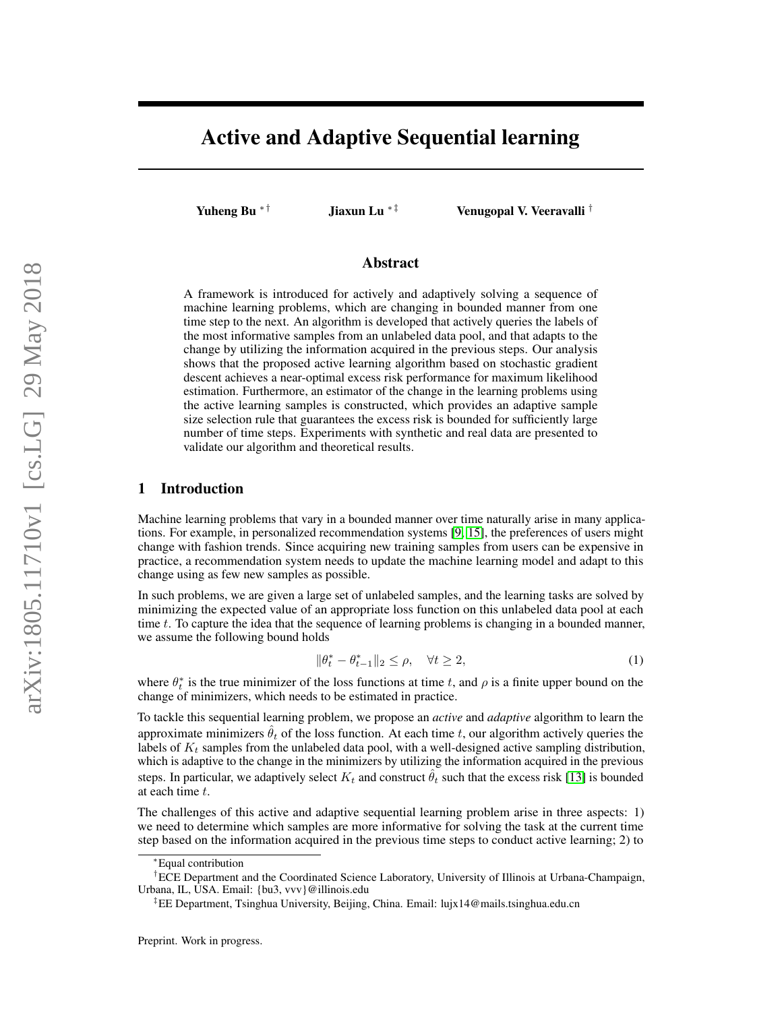# Active and Adaptive Sequential learning

Yuheng Bu ∗ † Jiaxun Lu ∗ ‡ Venugopal V. Veeravalli †

## Abstract

A framework is introduced for actively and adaptively solving a sequence of machine learning problems, which are changing in bounded manner from one time step to the next. An algorithm is developed that actively queries the labels of the most informative samples from an unlabeled data pool, and that adapts to the change by utilizing the information acquired in the previous steps. Our analysis shows that the proposed active learning algorithm based on stochastic gradient descent achieves a near-optimal excess risk performance for maximum likelihood estimation. Furthermore, an estimator of the change in the learning problems using the active learning samples is constructed, which provides an adaptive sample size selection rule that guarantees the excess risk is bounded for sufficiently large number of time steps. Experiments with synthetic and real data are presented to validate our algorithm and theoretical results.

## 1 Introduction

Machine learning problems that vary in a bounded manner over time naturally arise in many applications. For example, in personalized recommendation systems [\[9,](#page-9-0) [15\]](#page-9-1), the preferences of users might change with fashion trends. Since acquiring new training samples from users can be expensive in practice, a recommendation system needs to update the machine learning model and adapt to this change using as few new samples as possible.

In such problems, we are given a large set of unlabeled samples, and the learning tasks are solved by minimizing the expected value of an appropriate loss function on this unlabeled data pool at each time  $t$ . To capture the idea that the sequence of learning problems is changing in a bounded manner, we assume the following bound holds

<span id="page-0-0"></span>
$$
\|\theta_t^* - \theta_{t-1}^*\|_2 \le \rho, \quad \forall t \ge 2,\tag{1}
$$

where  $\theta_t^*$  is the true minimizer of the loss functions at time t, and  $\rho$  is a finite upper bound on the change of minimizers, which needs to be estimated in practice.

To tackle this sequential learning problem, we propose an *active* and *adaptive* algorithm to learn the approximate minimizers  $\hat{\theta}_t$  of the loss function. At each time t, our algorithm actively queries the labels of  $K_t$  samples from the unlabeled data pool, with a well-designed active sampling distribution, which is adaptive to the change in the minimizers by utilizing the information acquired in the previous steps. In particular, we adaptively select  $K_t$  and construct  $\hat{\theta}_t$  such that the excess risk [\[13\]](#page-9-2) is bounded at each time t.

The challenges of this active and adaptive sequential learning problem arise in three aspects: 1) we need to determine which samples are more informative for solving the task at the current time step based on the information acquired in the previous time steps to conduct active learning; 2) to

<sup>∗</sup>Equal contribution

<sup>†</sup>ECE Department and the Coordinated Science Laboratory, University of Illinois at Urbana-Champaign, Urbana, IL, USA. Email: {bu3, vvv}@illinois.edu

<sup>‡</sup>EE Department, Tsinghua University, Beijing, China. Email: lujx14@mails.tsinghua.edu.cn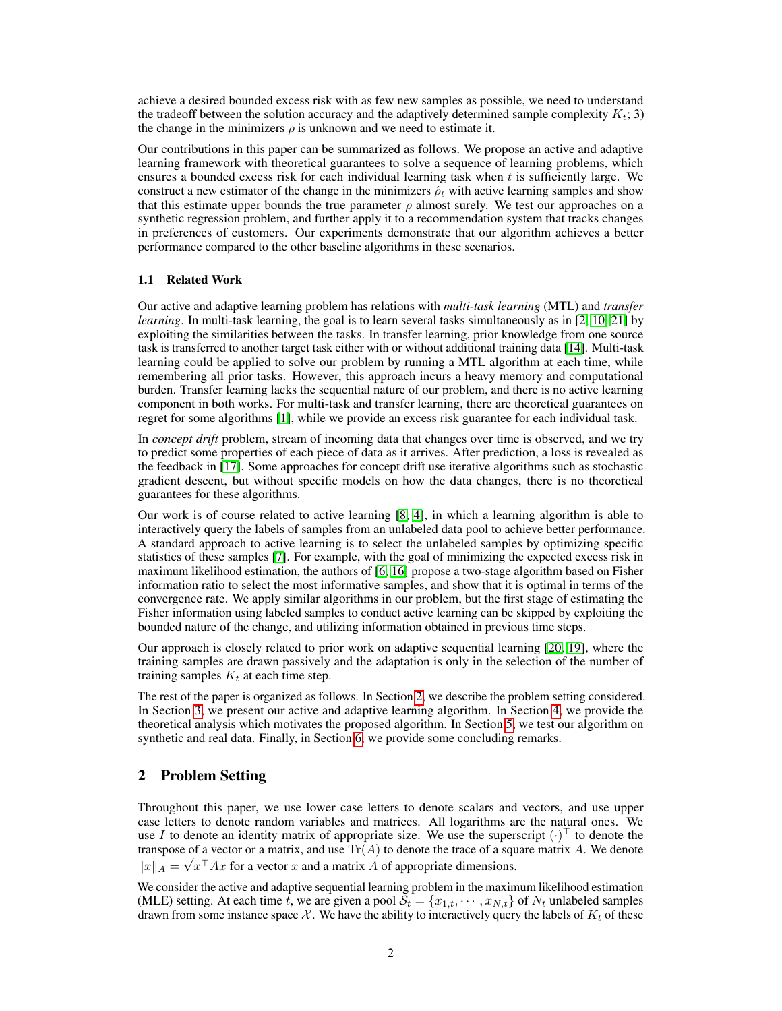achieve a desired bounded excess risk with as few new samples as possible, we need to understand the tradeoff between the solution accuracy and the adaptively determined sample complexity  $K_t$ ; 3) the change in the minimizers  $\rho$  is unknown and we need to estimate it.

Our contributions in this paper can be summarized as follows. We propose an active and adaptive learning framework with theoretical guarantees to solve a sequence of learning problems, which ensures a bounded excess risk for each individual learning task when  $t$  is sufficiently large. We construct a new estimator of the change in the minimizers  $\hat{\rho}_t$  with active learning samples and show that this estimate upper bounds the true parameter  $\rho$  almost surely. We test our approaches on a synthetic regression problem, and further apply it to a recommendation system that tracks changes in preferences of customers. Our experiments demonstrate that our algorithm achieves a better performance compared to the other baseline algorithms in these scenarios.

## 1.1 Related Work

Our active and adaptive learning problem has relations with *multi-task learning* (MTL) and *transfer learning*. In multi-task learning, the goal is to learn several tasks simultaneously as in [\[2,](#page-9-3) [10,](#page-9-4) [21\]](#page-9-5) by exploiting the similarities between the tasks. In transfer learning, prior knowledge from one source task is transferred to another target task either with or without additional training data [\[14\]](#page-9-6). Multi-task learning could be applied to solve our problem by running a MTL algorithm at each time, while remembering all prior tasks. However, this approach incurs a heavy memory and computational burden. Transfer learning lacks the sequential nature of our problem, and there is no active learning component in both works. For multi-task and transfer learning, there are theoretical guarantees on regret for some algorithms [\[1\]](#page-9-7), while we provide an excess risk guarantee for each individual task.

In *concept drift* problem, stream of incoming data that changes over time is observed, and we try to predict some properties of each piece of data as it arrives. After prediction, a loss is revealed as the feedback in [\[17\]](#page-9-8). Some approaches for concept drift use iterative algorithms such as stochastic gradient descent, but without specific models on how the data changes, there is no theoretical guarantees for these algorithms.

Our work is of course related to active learning [\[8,](#page-9-9) [4\]](#page-9-10), in which a learning algorithm is able to interactively query the labels of samples from an unlabeled data pool to achieve better performance. A standard approach to active learning is to select the unlabeled samples by optimizing specific statistics of these samples [\[7\]](#page-9-11). For example, with the goal of minimizing the expected excess risk in maximum likelihood estimation, the authors of [\[6,](#page-9-12) [16\]](#page-9-13) propose a two-stage algorithm based on Fisher information ratio to select the most informative samples, and show that it is optimal in terms of the convergence rate. We apply similar algorithms in our problem, but the first stage of estimating the Fisher information using labeled samples to conduct active learning can be skipped by exploiting the bounded nature of the change, and utilizing information obtained in previous time steps.

Our approach is closely related to prior work on adaptive sequential learning [\[20,](#page-9-14) [19\]](#page-9-15), where the training samples are drawn passively and the adaptation is only in the selection of the number of training samples  $K_t$  at each time step.

The rest of the paper is organized as follows. In Section [2,](#page-1-0) we describe the problem setting considered. In Section [3,](#page-2-0) we present our active and adaptive learning algorithm. In Section [4,](#page-3-0) we provide the theoretical analysis which motivates the proposed algorithm. In Section [5,](#page-6-0) we test our algorithm on synthetic and real data. Finally, in Section [6,](#page-8-0) we provide some concluding remarks.

# <span id="page-1-0"></span>2 Problem Setting

Throughout this paper, we use lower case letters to denote scalars and vectors, and use upper case letters to denote random variables and matrices. All logarithms are the natural ones. We use I to denote an identity matrix of appropriate size. We use the superscript  $(\cdot)^{\top}$  to denote the transpose of a vector or a matrix, and use  $\text{Tr}(A)$  to denote the trace of a square matrix A. We denote  $||x||_A = \sqrt{x^T A x}$  for a vector x and a matrix A of appropriate dimensions.

We consider the active and adaptive sequential learning problem in the maximum likelihood estimation (MLE) setting. At each time t, we are given a pool  $S_t = \{x_{1,t}, \dots, x_{N,t}\}$  of  $N_t$  unlabeled samples drawn from some instance space  $\mathcal{X}$ . We have the ability to interactively query the labels of  $K_t$  of these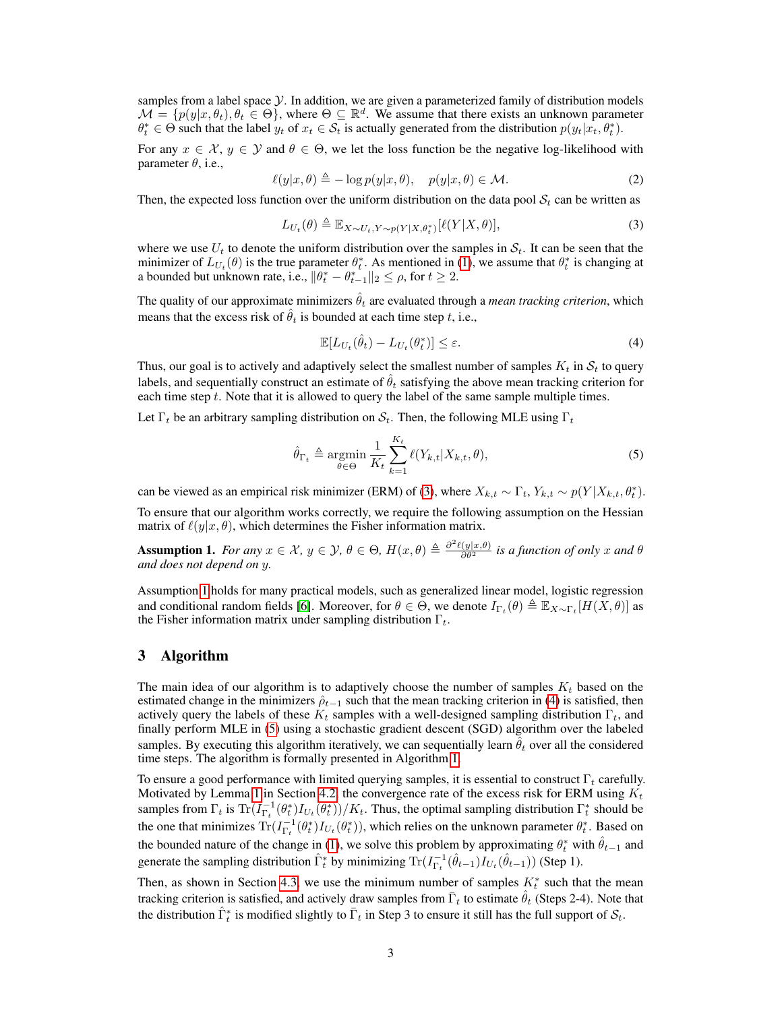samples from a label space  $\mathcal Y$ . In addition, we are given a parameterized family of distribution models  $\mathcal{M} = \{p(y|x, \theta_t), \theta_t \in \Theta\}$ , where  $\Theta \subseteq \mathbb{R}^d$ . We assume that there exists an unknown parameter  $\theta_t^* \in \Theta$  such that the label  $y_t$  of  $x_t \in \mathcal{S}_t$  is actually generated from the distribution  $p(y_t|x_t, \theta_t^*)$ .

For any  $x \in \mathcal{X}$ ,  $y \in \mathcal{Y}$  and  $\theta \in \Theta$ , we let the loss function be the negative log-likelihood with parameter  $\theta$ , i.e.,

$$
\ell(y|x,\theta) \triangleq -\log p(y|x,\theta), \quad p(y|x,\theta) \in \mathcal{M}.
$$
 (2)

Then, the expected loss function over the uniform distribution on the data pool  $S_t$  can be written as

$$
L_{U_t}(\theta) \triangleq \mathbb{E}_{X \sim U_t, Y \sim p(Y|X, \theta_t^*)} [\ell(Y|X, \theta)],\tag{3}
$$

where we use  $U_t$  to denote the uniform distribution over the samples in  $S_t$ . It can be seen that the minimizer of  $L_{U_t}(\theta)$  is the true parameter  $\theta_t^*$ . As mentioned in [\(1\)](#page-0-0), we assume that  $\theta_t^*$  is changing at a bounded but unknown rate, i.e.,  $\|\theta_t^* - \theta_{t-1}^*\|_2 \leq \rho$ , for  $t \geq 2$ .

The quality of our approximate minimizers  $\hat{\theta}_t$  are evaluated through a *mean tracking criterion*, which means that the excess risk of  $\hat{\theta}_t$  is bounded at each time step t, i.e.,

<span id="page-2-4"></span><span id="page-2-3"></span><span id="page-2-1"></span>
$$
\mathbb{E}[L_{U_t}(\hat{\theta}_t) - L_{U_t}(\theta_t^*)] \le \varepsilon. \tag{4}
$$

Thus, our goal is to actively and adaptively select the smallest number of samples  $K_t$  in  $S_t$  to query labels, and sequentially construct an estimate of  $\hat{\theta}_t$  satisfying the above mean tracking criterion for each time step  $t$ . Note that it is allowed to query the label of the same sample multiple times.

Let  $\Gamma_t$  be an arbitrary sampling distribution on  $\mathcal{S}_t$ . Then, the following MLE using  $\Gamma_t$ 

$$
\hat{\theta}_{\Gamma_t} \triangleq \underset{\theta \in \Theta}{\text{argmin}} \frac{1}{K_t} \sum_{k=1}^{K_t} \ell(Y_{k,t} | X_{k,t}, \theta), \tag{5}
$$

can be viewed as an empirical risk minimizer (ERM) of [\(3\)](#page-2-1), where  $X_{k,t} \sim \Gamma_t$ ,  $Y_{k,t} \sim p(Y|X_{k,t}, \theta_t^*)$ .

To ensure that our algorithm works correctly, we require the following assumption on the Hessian matrix of  $\ell(y|x, \theta)$ , which determines the Fisher information matrix.

<span id="page-2-2"></span>Assumption 1. *For any*  $x \in \mathcal{X}$ ,  $y \in \mathcal{Y}$ ,  $\theta \in \Theta$ ,  $H(x,\theta) \triangleq \frac{\partial^2 \ell(y|x,\theta)}{\partial \theta^2}$  *is a function of only* x and  $\theta$ *and does not depend on* y*.*

Assumption [1](#page-2-2) holds for many practical models, such as generalized linear model, logistic regression and conditional random fields [\[6\]](#page-9-12). Moreover, for  $\theta \in \Theta$ , we denote  $I_{\Gamma_t}(\theta) \triangleq \mathbb{E}_{X \sim \Gamma_t}[H(X, \theta)]$  as the Fisher information matrix under sampling distribution  $\Gamma_t$ .

## <span id="page-2-0"></span>3 Algorithm

The main idea of our algorithm is to adaptively choose the number of samples  $K_t$  based on the estimated change in the minimizers  $\hat{\rho}_{t-1}$  such that the mean tracking criterion in [\(4\)](#page-2-3) is satisfied, then actively query the labels of these  $K_t$  samples with a well-designed sampling distribution  $\Gamma_t$ , and finally perform MLE in [\(5\)](#page-2-4) using a stochastic gradient descent (SGD) algorithm over the labeled samples. By executing this algorithm iteratively, we can sequentially learn  $\hat{\theta}_t$  over all the considered time steps. The algorithm is formally presented in Algorithm [1.](#page-3-1)

To ensure a good performance with limited querying samples, it is essential to construct  $\Gamma_t$  carefully. Motivated by Lemma [1](#page-4-0) in Section [4.2,](#page-4-1) the convergence rate of the excess risk for ERM using  $K_t$ samples from  $\Gamma_t$  is  $\text{Tr}(I_{\Gamma_t}^{-1}(\theta_t^*)I_{U_t}(\theta_t^*))/K_t$ . Thus, the optimal sampling distribution  $\Gamma_t^*$  should be the one that minimizes  $\text{Tr}(I_{\Gamma_t}^{-1}(\theta_t^*)I_{U_t}(\theta_t^*))$ , which relies on the unknown parameter  $\theta_t^*$ . Based on the bounded nature of the change in [\(1\)](#page-0-0), we solve this problem by approximating  $\theta_t^*$  with  $\hat{\theta}_{t-1}$  and generate the sampling distribution  $\hat{\Gamma}_t^*$  by minimizing  $\text{Tr}(I_{\Gamma_t}^{-1}(\hat{\theta}_{t-1})I_{U_t}(\hat{\theta}_{t-1}))$  (Step 1).

Then, as shown in Section [4.3,](#page-5-0) we use the minimum number of samples  $K_t^*$  such that the mean tracking criterion is satisfied, and actively draw samples from  $\bar{\Gamma}_t$  to estimate  $\hat{\theta}_t$  (Steps 2-4). Note that the distribution  $\hat{\Gamma}^*_t$  is modified slightly to  $\bar{\Gamma}_t$  in Step 3 to ensure it still has the full support of  $\mathcal{S}_t$ .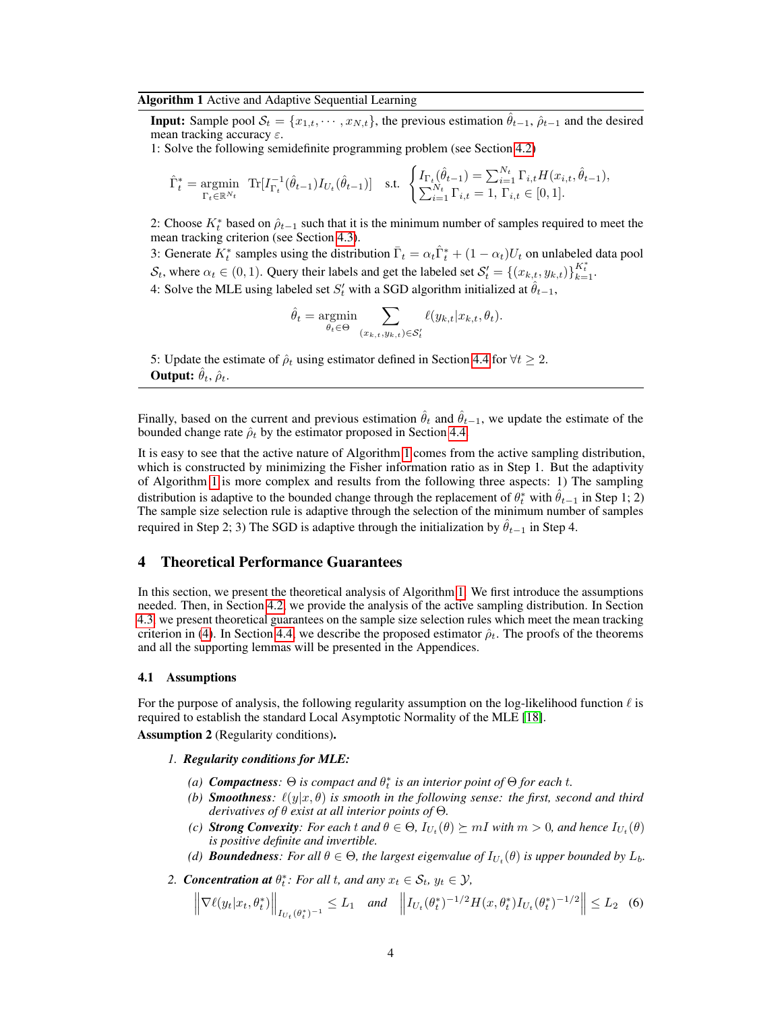#### Algorithm 1 Active and Adaptive Sequential Learning

<span id="page-3-1"></span>**Input:** Sample pool  $S_t = \{x_{1,t}, \dots, x_{N,t}\}\$ , the previous estimation  $\hat{\theta}_{t-1}, \hat{\rho}_{t-1}$  and the desired mean tracking accuracy  $\varepsilon$ .

1: Solve the following semidefinite programming problem (see Section [4.2\)](#page-4-1)

$$
\hat{\Gamma}^*_t = \underset{\Gamma_t \in \mathbb{R}^{N_t}}{\text{argmin}} \quad \text{Tr}[I_{\Gamma_t}^{-1}(\hat{\theta}_{t-1}) I_{U_t}(\hat{\theta}_{t-1})] \quad \text{s.t.} \quad \begin{cases} I_{\Gamma_t}(\hat{\theta}_{t-1}) = \sum_{i=1}^{N_t} \Gamma_{i,t} H(x_{i,t}, \hat{\theta}_{t-1}), \\ \sum_{i=1}^{N_t} \Gamma_{i,t} = 1, \ \Gamma_{i,t} \in [0,1]. \end{cases}
$$

2: Choose  $K_t^*$  based on  $\hat{\rho}_{t-1}$  such that it is the minimum number of samples required to meet the mean tracking criterion (see Section [4.3\)](#page-5-0).

3: Generate  $K_t^*$  samples using the distribution  $\bar{\Gamma}_t = \alpha_t \hat{\Gamma}_t^* + (1 - \alpha_t)U_t$  on unlabeled data pool  $S_t$ , where  $\alpha_t \in (0, 1)$ . Query their labels and get the labeled set  $S_t' = \{(x_{k,t}, y_{k,t})\}_{k=1}^{K_t^*}$ . 4: Solve the MLE using labeled set  $S_t'$  with a SGD algorithm initialized at  $\hat{\theta}_{t-1}$ ,

$$
\hat{\theta}_t = \underset{\theta_t \in \Theta}{\text{argmin}} \sum_{(x_{k,t}, y_{k,t}) \in \mathcal{S}'_t} \ell(y_{k,t} | x_{k,t}, \theta_t).
$$

5: Update the estimate of  $\hat{\rho}_t$  using estimator defined in Section [4.4](#page-5-1) for  $\forall t \geq 2$ . **Output:**  $\hat{\theta}_t$ ,  $\hat{\rho}_t$ .

Finally, based on the current and previous estimation  $\hat{\theta}_t$  and  $\hat{\theta}_{t-1}$ , we update the estimate of the bounded change rate  $\hat{\rho}_t$  by the estimator proposed in Section [4.4.](#page-5-1)

It is easy to see that the active nature of Algorithm [1](#page-3-1) comes from the active sampling distribution, which is constructed by minimizing the Fisher information ratio as in Step 1. But the adaptivity of Algorithm [1](#page-3-1) is more complex and results from the following three aspects: 1) The sampling distribution is adaptive to the bounded change through the replacement of  $\theta_t^*$  with  $\hat{\theta}_{t-1}$  in Step 1; 2) The sample size selection rule is adaptive through the selection of the minimum number of samples required in Step 2; 3) The SGD is adaptive through the initialization by  $\hat{\theta}_{t-1}$  in Step 4.

## <span id="page-3-0"></span>4 Theoretical Performance Guarantees

In this section, we present the theoretical analysis of Algorithm [1.](#page-3-1) We first introduce the assumptions needed. Then, in Section [4.2,](#page-4-1) we provide the analysis of the active sampling distribution. In Section [4.3,](#page-5-0) we present theoretical guarantees on the sample size selection rules which meet the mean tracking criterion in [\(4\)](#page-2-3). In Section [4.4,](#page-5-1) we describe the proposed estimator  $\hat{\rho}_t$ . The proofs of the theorems and all the supporting lemmas will be presented in the Appendices.

#### 4.1 Assumptions

For the purpose of analysis, the following regularity assumption on the log-likelihood function  $\ell$  is required to establish the standard Local Asymptotic Normality of the MLE [\[18\]](#page-9-16).

<span id="page-3-2"></span>Assumption 2 (Regularity conditions).

#### *1. Regularity conditions for MLE:*

- (a) *Compactness*:  $\Theta$  *is compact and*  $\theta_t^*$  *is an interior point of*  $\Theta$  *for each t.*
- (b) *Smoothness*:  $\ell(y|x, \theta)$  *is smooth in the following sense: the first, second and third derivatives of* θ *exist at all interior points of* Θ*.*
- *(c) Strong Convexity: For each t and*  $\theta \in \Theta$ ,  $I_{U_t}(\theta) \succeq mI$  with  $m > 0$ , and hence  $I_{U_t}(\theta)$ *is positive definite and invertible.*
- (d) **Boundedness**: For all  $\theta \in \Theta$ , the largest eigenvalue of  $I_{U_t}(\theta)$  is upper bounded by  $L_b$ .

*2. Concentration at*  $\theta_t^*$ : *For all t, and any*  $x_t \in S_t$ ,  $y_t \in Y$ ,

$$
\left\| \nabla \ell(y_t | x_t, \theta_t^*) \right\|_{I_{U_t}(\theta_t^*)^{-1}} \le L_1 \quad \text{and} \quad \left\| I_{U_t}(\theta_t^*)^{-1/2} H(x, \theta_t^*) I_{U_t}(\theta_t^*)^{-1/2} \right\| \le L_2 \quad (6)
$$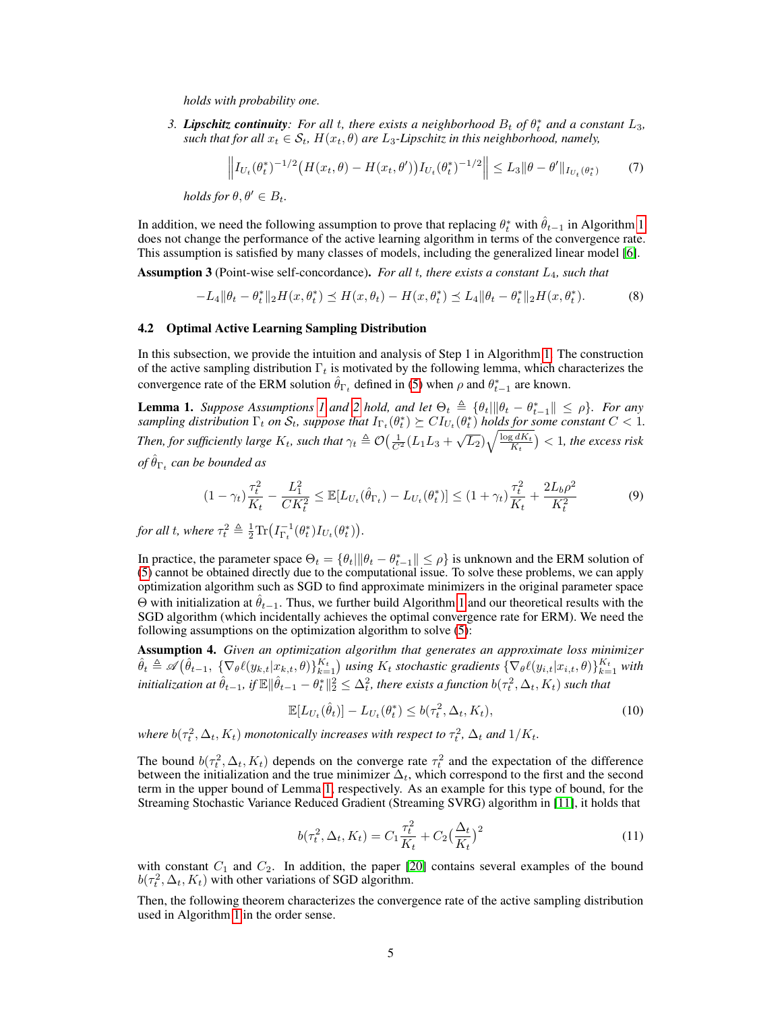*holds with probability one.*

*3. Lipschitz continuity: For all t, there exists a neighborhood*  $B_t$  *of*  $\theta_t^*$  *and* a constant  $L_3$ *, such that for all*  $x_t \in S_t$ ,  $H(x_t, \theta)$  *are*  $L_3$ -*Lipschitz in this neighborhood, namely,* 

$$
\left\| I_{U_t}(\theta_t^*)^{-1/2} \left( H(x_t, \theta) - H(x_t, \theta') \right) I_{U_t}(\theta_t^*)^{-1/2} \right\| \le L_3 \|\theta - \theta'\|_{I_{U_t}(\theta_t^*)}
$$
(7)

*holds for*  $\theta, \theta' \in B_t$ .

In addition, we need the following assumption to prove that replacing  $\theta_t^*$  with  $\hat{\theta}_{t-1}$  in Algorithm [1](#page-3-1) does not change the performance of the active learning algorithm in terms of the convergence rate. This assumption is satisfied by many classes of models, including the generalized linear model [\[6\]](#page-9-12).

<span id="page-4-3"></span>Assumption 3 (Point-wise self-concordance). *For all* t*, there exists a constant* L4*, such that*

$$
-L_4 \|\theta_t - \theta_t^*\|_2 H(x, \theta_t^*) \le H(x, \theta_t) - H(x, \theta_t^*) \le L_4 \|\theta_t - \theta_t^*\|_2 H(x, \theta_t^*). \tag{8}
$$

#### <span id="page-4-1"></span>4.2 Optimal Active Learning Sampling Distribution

In this subsection, we provide the intuition and analysis of Step 1 in Algorithm [1.](#page-3-1) The construction of the active sampling distribution  $\Gamma_t$  is motivated by the following lemma, which characterizes the convergence rate of the ERM solution  $\hat{\theta}_{\Gamma_t}$  defined in [\(5\)](#page-2-4) when  $\rho$  and  $\theta_{t-1}^*$  are known.

<span id="page-4-0"></span>**Lemma [1](#page-2-2).** *Suppose Assumptions 1 and* [2](#page-3-2) *hold, and let*  $\Theta_t \triangleq \{\theta_t | \|\theta_t - \theta_{t-1}^*\| \leq \rho\}$ *. For any sampling distribution*  $\Gamma_t$  *on*  $\mathcal{S}_t$ *, suppose that*  $I_{\Gamma_t}(\theta_t^*) \succeq CI_{U_t}(\theta_t^*)$  *holds for some constant*  $C < 1$ *.* Then, for sufficiently large  $K_t$ , such that  $\gamma_t \triangleq \mathcal{O}\left(\frac{1}{C^2}(L_1L_3 + \sqrt{L_2})\sqrt{\frac{\log dK_t}{K_t}}\right) < 1$ , the excess risk  $of \hat{\theta}_{\Gamma_t}$  can be bounded as

$$
(1 - \gamma_t) \frac{\tau_t^2}{K_t} - \frac{L_1^2}{CK_t^2} \le \mathbb{E}[L_{U_t}(\hat{\theta}_{\Gamma_t}) - L_{U_t}(\theta_t^*)] \le (1 + \gamma_t) \frac{\tau_t^2}{K_t} + \frac{2L_b\rho^2}{K_t^2}
$$
(9)

*for all t, where*  $\tau_t^2 \triangleq \frac{1}{2} \text{Tr} \left( I_{\Gamma_t}^{-1}(\theta_t^*) I_{U_t}(\theta_t^*) \right)$ .

In practice, the parameter space  $\Theta_t = \{\theta_t | \|\theta_t - \theta_{t-1}^*\| \leq \rho\}$  is unknown and the ERM solution of [\(5\)](#page-2-4) cannot be obtained directly due to the computational issue. To solve these problems, we can apply optimization algorithm such as SGD to find approximate minimizers in the original parameter space  $\Theta$  with initialization at  $\hat{\theta}_{t-1}$ . Thus, we further build Algorithm [1](#page-3-1) and our theoretical results with the SGD algorithm (which incidentally achieves the optimal convergence rate for ERM). We need the following assumptions on the optimization algorithm to solve [\(5\)](#page-2-4):

<span id="page-4-2"></span>Assumption 4. *Given an optimization algorithm that generates an approximate loss minimizer*  $\hat{\theta}_t \triangleq \mathscr{A}(\hat{\theta}_{t-1}, \{\nabla_{\theta} \ell(y_{k,t} | x_{k,t}, \theta)\}_{k=1}^{K_t})$  using  $K_t$  stochastic gradients  $\{\nabla_{\theta} \ell(y_{i,t} | x_{i,t}, \theta)\}_{k=1}^{K_t}$  with initialization at  $\hat{\theta}_{t-1}$ , if  $\mathbb E\|\hat\theta_{t-1}-\theta_t^*\|_2^2\leq \Delta_t^2$ , there exists a function  $b(\tau_t^2,\Delta_t,K_t)$  such that

$$
\mathbb{E}[L_{U_t}(\hat{\theta}_t)] - L_{U_t}(\theta_t^*) \le b(\tau_t^2, \Delta_t, K_t),\tag{10}
$$

where  $b(\tau_t^2, \Delta_t, K_t)$  *monotonically increases with respect to*  $\tau_t^2$ ,  $\Delta_t$  *and*  $1/K_t$ *.* 

The bound  $b(\tau_t^2, \Delta_t, K_t)$  depends on the converge rate  $\tau_t^2$  and the expectation of the difference between the initialization and the true minimizer  $\Delta_t$ , which correspond to the first and the second term in the upper bound of Lemma [1,](#page-4-0) respectively. As an example for this type of bound, for the Streaming Stochastic Variance Reduced Gradient (Streaming SVRG) algorithm in [\[11\]](#page-9-17), it holds that

$$
b(\tau_t^2, \Delta_t, K_t) = C_1 \frac{\tau_t^2}{K_t} + C_2 \left(\frac{\Delta_t}{K_t}\right)^2
$$
\n(11)

with constant  $C_1$  and  $C_2$ . In addition, the paper [\[20\]](#page-9-14) contains several examples of the bound  $b(\tau_t^2, \Delta_t, K_t)$  with other variations of SGD algorithm.

Then, the following theorem characterizes the convergence rate of the active sampling distribution used in Algorithm [1](#page-3-1) in the order sense.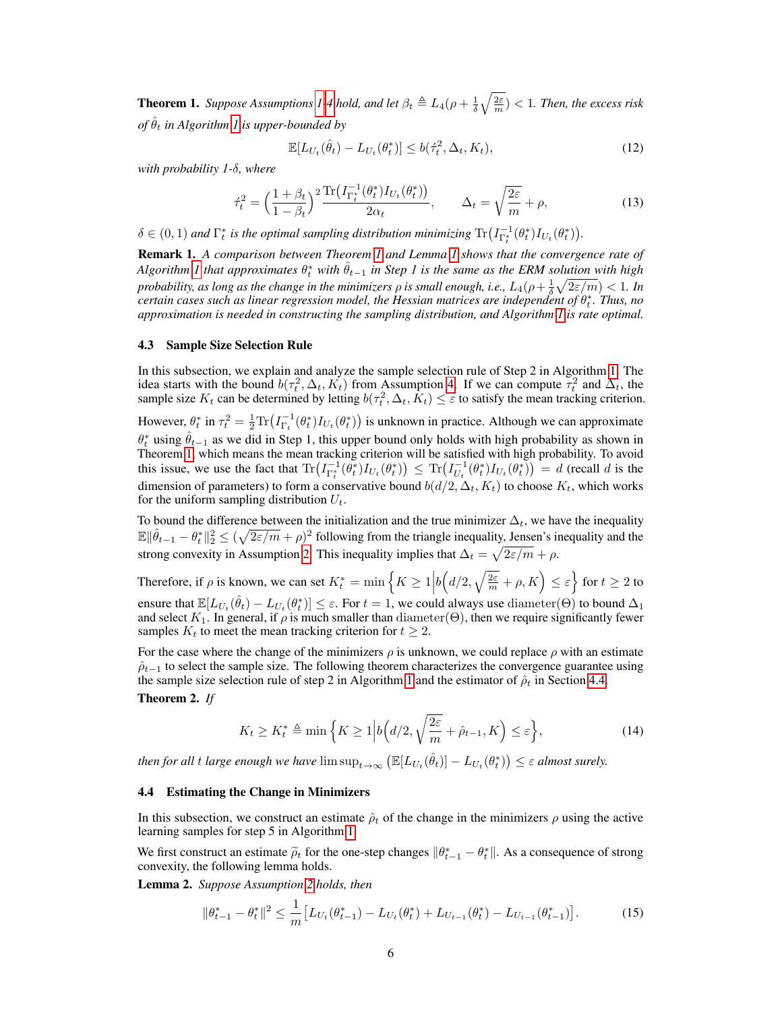<span id="page-5-2"></span>**Theorem 1.** Suppose Assumptions [1-](#page-2-2)[4](#page-4-2) hold, and let  $\beta_t \triangleq L_4(\rho + \frac{1}{\delta}\sqrt{\frac{2\varepsilon}{m}}) < 1$ . Then, the excess risk *of*  $\hat{\theta}_t$  *in Algorithm [1](#page-3-1) is upper-bounded by* 

$$
\mathbb{E}[L_{U_t}(\hat{\theta}_t) - L_{U_t}(\theta_t^*)] \le b(\hat{\tau}_t^2, \Delta_t, K_t),\tag{12}
$$

*with probability 1-*δ*, where*

$$
\hat{\tau}_t^2 = \left(\frac{1+\beta_t}{1-\beta_t}\right)^2 \frac{\text{Tr}\left(I_{\Gamma_t^*}^{-1}(\theta_t^*)I_{U_t}(\theta_t^*)\right)}{2\alpha_t}, \qquad \Delta_t = \sqrt{\frac{2\varepsilon}{m}} + \rho,\tag{13}
$$

 $\delta \in (0,1)$  and  $\Gamma_t^*$  is the optimal sampling distribution minimizing  $\text{Tr}\left(I_{\Gamma_t^*}^{-1}(\theta_t^*)I_{U_t}(\theta_t^*)\right)$ .

<span id="page-5-4"></span>Remark 1. *A comparison between Theorem [1](#page-5-2) and Lemma [1](#page-4-0) shows that the convergence rate of* Algorithm [1](#page-3-1) that approximates  $\theta^*_t$  with  $\hat{\theta}_{t-1}$  in Step 1 is the same as the ERM solution with high *probability, as long as the change in the minimizers*  $\rho$  *is small enough, i.e.,*  $L_4(\rho+\frac{1}{\delta}\sqrt{2\varepsilon/m}) < 1$ *. In certain cases such as linear regression model, the Hessian matrices are independent of* θ ∗ t *. Thus, no approximation is needed in constructing the sampling distribution, and Algorithm [1](#page-3-1) is rate optimal.*

#### <span id="page-5-0"></span>4.3 Sample Size Selection Rule

In this subsection, we explain and analyze the sample selection rule of Step 2 in Algorithm [1.](#page-3-1) The idea starts with the bound  $b(\tau_t^2, \Delta_t, K_t)$  from Assumption [4.](#page-4-2) If we can compute  $\tau_t^2$  and  $\Delta_t$ , the sample size  $K_t$  can be determined by letting  $b(\tau_t^2, \Delta_t, \bar{K}_t) \leq \varepsilon$  to satisfy the mean tracking criterion. However,  $\theta_t^*$  in  $\tau_t^2 = \frac{1}{2} \text{Tr} \left( I_{\Gamma_t}^{-1}(\theta_t^*) I_{U_t}(\theta_t^*) \right)$  is unknown in practice. Although we can approximate  $\theta_t^*$  using  $\hat{\theta}_{t-1}$  as we did in Step 1, this upper bound only holds with high probability as shown in Theorem [1,](#page-5-2) which means the mean tracking criterion will be satisfied with high probability. To avoid this issue, we use the fact that  $\text{Tr}\left(I_{\Gamma_t^*}^{-1}(\theta_t^*)I_{U_t}(\theta_t^*)\right) \leq \text{Tr}\left(I_{U_t}^{-1}(\theta_t^*)I_{U_t}(\theta_t^*)\right) = d$  (recall d is the dimension of parameters) to form a conservative bound  $b(d/2, \Delta_t, K_t)$  to choose  $K_t$ , which works for the uniform sampling distribution  $U_t$ .

To bound the difference between the initialization and the true minimizer  $\Delta_t$ , we have the inequality  $\mathbb{E} \|\hat{\theta}_{t-1} - \theta_t^*\|_2^2 \le (\sqrt{2\varepsilon/m} + \rho)^2$  following from the triangle inequality, Jensen's inequality and the strong convexity in Assumption [2.](#page-3-2) This inequality implies that  $\Delta_t = \sqrt{2\varepsilon/m} + \rho$ .

Therefore, if  $\rho$  is known, we can set  $K_t^* = \min \left\{ K \geq 1 \Big| b\Big(d/2, \sqrt{\frac{2\varepsilon}{m}} + \rho, K\Big) \leq \varepsilon \right\}$  for  $t \geq 2$  to ensure that  $\mathbb{E}[L_{U_t}(\hat{\theta}_t) - L_{U_t}(\theta_t^*)] \leq \varepsilon$ . For  $t = 1$ , we could always use diameter(Θ) to bound  $\Delta_1$ and select  $K_1$ . In general, if  $\rho$  is much smaller than diameter( $\Theta$ ), then we require significantly fewer samples  $K_t$  to meet the mean tracking criterion for  $t \geq 2$ .

For the case where the change of the minimizers  $\rho$  is unknown, we could replace  $\rho$  with an estimate  $\hat{\rho}_{t-1}$  to select the sample size. The following theorem characterizes the convergence guarantee using the sample size selection rule of step 2 in Algorithm [1](#page-3-1) and the estimator of  $\hat{\rho}_t$  in Section [4.4.](#page-5-1)

#### <span id="page-5-5"></span>Theorem 2. *If*

$$
K_t \ge K_t^* \triangleq \min\left\{K \ge 1 \Big| b\Big(d/2, \sqrt{\frac{2\varepsilon}{m}} + \hat{\rho}_{t-1}, K\Big) \le \varepsilon \right\},\tag{14}
$$

then for all  $t$  large enough we have  $\limsup_{t\to\infty}\left(\mathbb{E}[L_{U_t}(\hat{\theta}_t)] - L_{U_t}(\theta_t^*)\right) \leq \varepsilon$  almost surely.

#### <span id="page-5-1"></span>4.4 Estimating the Change in Minimizers

In this subsection, we construct an estimate  $\hat{\rho}_t$  of the change in the minimizers  $\rho$  using the active learning samples for step 5 in Algorithm [1.](#page-3-1)

We first construct an estimate  $\tilde{\rho}_t$  for the one-step changes  $\|\theta_{t-1}^* - \theta_t^*\|$ . As a consequence of strong convexity the following lemma holds convexity, the following lemma holds.

<span id="page-5-3"></span>Lemma 2. *Suppose Assumption [2](#page-3-2) holds, then*

$$
\|\theta_{t-1}^* - \theta_t^*\|^2 \le \frac{1}{m} \big[ L_{U_t}(\theta_{t-1}^*) - L_{U_t}(\theta_t^*) + L_{U_{t-1}}(\theta_t^*) - L_{U_{t-1}}(\theta_{t-1}^*) \big].\tag{15}
$$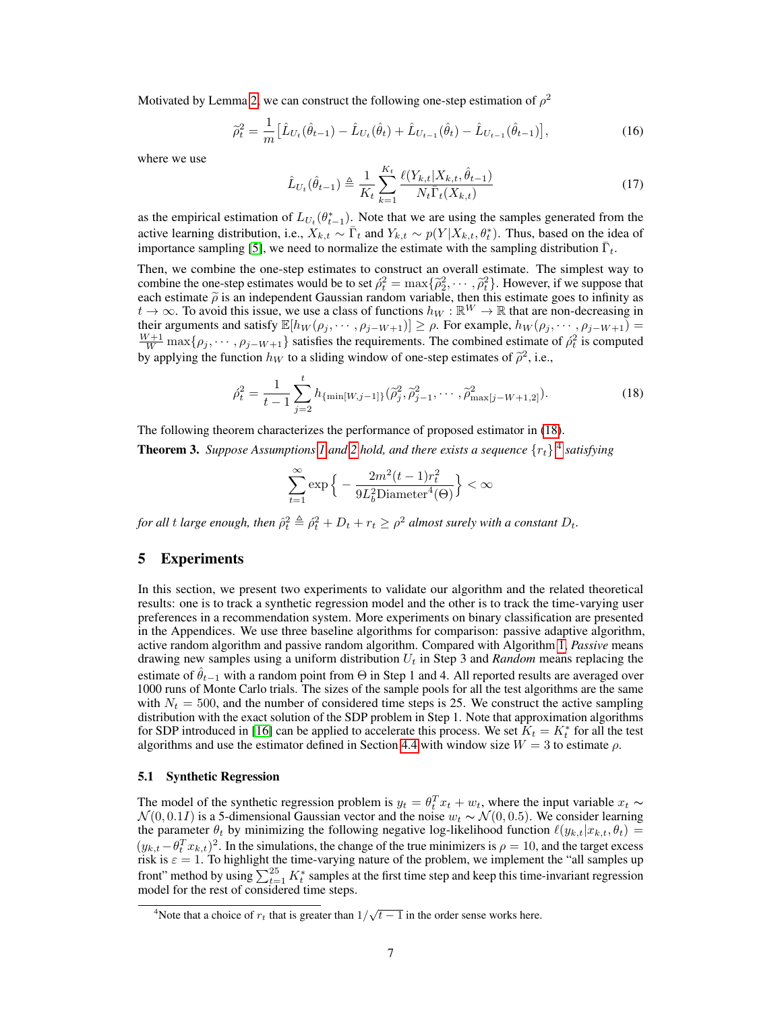Motivated by Lemma [2,](#page-5-3) we can construct the following one-step estimation of  $\rho^2$ 

$$
\tilde{\rho}_t^2 = \frac{1}{m} \left[ \hat{L}_{U_t}(\hat{\theta}_{t-1}) - \hat{L}_{U_t}(\hat{\theta}_t) + \hat{L}_{U_{t-1}}(\hat{\theta}_t) - \hat{L}_{U_{t-1}}(\hat{\theta}_{t-1}) \right],\tag{16}
$$

where we use

$$
\hat{L}_{U_t}(\hat{\theta}_{t-1}) \triangleq \frac{1}{K_t} \sum_{k=1}^{K_t} \frac{\ell(Y_{k,t} | X_{k,t}, \hat{\theta}_{t-1})}{N_t \bar{\Gamma}_t(X_{k,t})}
$$
(17)

as the empirical estimation of  $L_{U_t}(\theta_{t-1}^*)$ . Note that we are using the samples generated from the active learning distribution, i.e.,  $X_{k,t} \sim \bar{\Gamma}_t$  and  $Y_{k,t} \sim p(Y|X_{k,t}, \theta_t^*)$ . Thus, based on the idea of importance sampling [\[5\]](#page-9-18), we need to normalize the estimate with the sampling distribution  $\bar{\Gamma}_t$ .

Then, we combine the one-step estimates to construct an overall estimate. The simplest way to combine the one-step estimates would be to set  $\hat{\rho}_t^2 = \max{\{\hat{\rho}_2^2, \dots, \hat{\rho}_t^2\}}$ . However, if we suppose that each estimate  $\tilde{\rho}$  is an independent Gaussian random variable, then this estimate goes to infinity as  $t \to \infty$ . To avoid this issue, we use a class of functions  $h_W : \mathbb{R}^W \to \mathbb{R}$  that are non-decreasing in their arguments and satisfy  $\mathbb{E}[h_W(\rho_j, \dots, \rho_{j-W+1})] \ge \rho$ . For example,  $h_W(\rho_j, \dots, \rho_{j-W+1}) =$  $\frac{W+1}{W}$  max $\{\rho_j, \dots, \rho_{j-W+1}\}$  satisfies the requirements. The combined estimate of  $\rho_t^2$  is computed by applying the function  $h_W$  to a sliding window of one-step estimates of  $\tilde{\rho}^2$ , i.e.,

$$
\hat{\rho}_t^2 = \frac{1}{t-1} \sum_{j=2}^t h_{\{\min[W,j-1]\}}(\hat{\rho}_j^2, \hat{\rho}_{j-1}^2, \cdots, \hat{\rho}_{\max[j-W+1,2]}^2).
$$
 (18)

The following theorem characterizes the performance of proposed estimator in [\(18\)](#page-6-1).

<span id="page-6-3"></span>Theorem 3. *Suppose Assumptions [1](#page-2-2) and [2](#page-3-2) hold, and there exists a sequence* {rt} [4](#page-6-2) *satisfying*

<span id="page-6-1"></span>
$$
\sum_{t=1}^{\infty} \exp\Big\{-\frac{2m^2(t-1)r_t^2}{9L_b^2\text{Diameter}^4(\Theta)}\Big\}<\infty
$$

for all t large enough, then  $\hat{\rho}_t^2 \triangleq \hat{\rho}_t^2 + D_t + r_t \geq \rho^2$  almost surely with a constant  $D_t$ .

#### <span id="page-6-0"></span>5 Experiments

In this section, we present two experiments to validate our algorithm and the related theoretical results: one is to track a synthetic regression model and the other is to track the time-varying user preferences in a recommendation system. More experiments on binary classification are presented in the Appendices. We use three baseline algorithms for comparison: passive adaptive algorithm, active random algorithm and passive random algorithm. Compared with Algorithm [1,](#page-3-1) *Passive* means drawing new samples using a uniform distribution  $U_t$  in Step 3 and *Random* means replacing the estimate of  $\hat{\theta}_{t-1}$  with a random point from  $\Theta$  in Step 1 and 4. All reported results are averaged over 1000 runs of Monte Carlo trials. The sizes of the sample pools for all the test algorithms are the same with  $N_t = 500$ , and the number of considered time steps is 25. We construct the active sampling distribution with the exact solution of the SDP problem in Step 1. Note that approximation algorithms for SDP introduced in [\[16\]](#page-9-13) can be applied to accelerate this process. We set  $K_t = K_t^*$  for all the test algorithms and use the estimator defined in Section [4.4](#page-5-1) with window size  $W = 3$  to estimate  $\rho$ .

#### 5.1 Synthetic Regression

The model of the synthetic regression problem is  $y_t = \theta_t^T x_t + w_t$ , where the input variable  $x_t \sim$  $\mathcal{N}(0, 0.1I)$  is a 5-dimensional Gaussian vector and the noise  $w_t \sim \mathcal{N}(0, 0.5)$ . We consider learning the parameter  $\theta_t$  by minimizing the following negative log-likelihood function  $\ell(y_{k,t}|x_{k,t}, \theta_t) =$  $(y_{k,t}-\theta_t^T x_{k,t})^2$ . In the simulations, the change of the true minimizers is  $\rho = 10$ , and the target excess risk is  $\varepsilon = 1$ . To highlight the time-varying nature of the problem, we implement the "all samples up front" method by using  $\sum_{t=1}^{25} K_t^*$  samples at the first time step and keep this time-invariant regression model for the rest of considered time steps.

<span id="page-6-2"></span><sup>&</sup>lt;sup>4</sup>Note that a choice of  $r_t$  that is greater than  $1/\sqrt{t-1}$  in the order sense works here.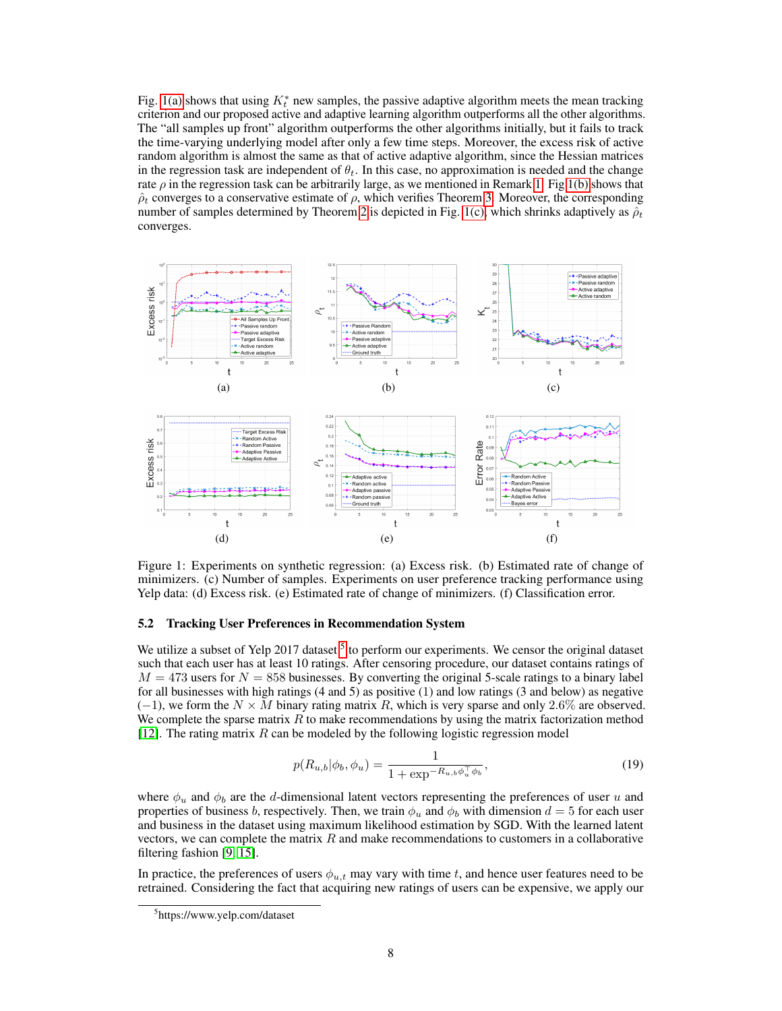Fig. [1\(a\)](#page-7-0) shows that using  $K_t^*$  new samples, the passive adaptive algorithm meets the mean tracking criterion and our proposed active and adaptive learning algorithm outperforms all the other algorithms. The "all samples up front" algorithm outperforms the other algorithms initially, but it fails to track the time-varying underlying model after only a few time steps. Moreover, the excess risk of active random algorithm is almost the same as that of active adaptive algorithm, since the Hessian matrices in the regression task are independent of  $\theta_t$ . In this case, no approximation is needed and the change rate  $\rho$  in the regression task can be arbitrarily large, as we mentioned in Remark [1.](#page-5-4) Fig [1\(b\)](#page-7-1) shows that  $\hat{\rho}_t$  converges to a conservative estimate of  $\rho$ , which verifies Theorem [3.](#page-6-3) Moreover, the corresponding number of samples determined by Theorem [2](#page-5-5) is depicted in Fig. [1\(c\),](#page-7-2) which shrinks adaptively as  $\hat{\rho}_t$ converges.

<span id="page-7-2"></span><span id="page-7-1"></span><span id="page-7-0"></span>

<span id="page-7-6"></span><span id="page-7-5"></span>Figure 1: Experiments on synthetic regression: (a) Excess risk. (b) Estimated rate of change of minimizers. (c) Number of samples. Experiments on user preference tracking performance using Yelp data: (d) Excess risk. (e) Estimated rate of change of minimizers. (f) Classification error.

#### 5.2 Tracking User Preferences in Recommendation System

We utilize a subset of Yelp 2017 dataset  $5$  to perform our experiments. We censor the original dataset such that each user has at least 10 ratings. After censoring procedure, our dataset contains ratings of  $M = 473$  users for  $N = 858$  businesses. By converting the original 5-scale ratings to a binary label for all businesses with high ratings (4 and 5) as positive (1) and low ratings (3 and below) as negative  $(-1)$ , we form the  $N \times M$  binary rating matrix R, which is very sparse and only 2.6% are observed. We complete the sparse matrix  $R$  to make recommendations by using the matrix factorization method [\[12\]](#page-9-19). The rating matrix  $R$  can be modeled by the following logistic regression model

<span id="page-7-7"></span><span id="page-7-4"></span>
$$
p(R_{u,b}|\phi_b, \phi_u) = \frac{1}{1 + \exp^{-R_{u,b}\phi_u^{\top}\phi_b}},
$$
\n(19)

where  $\phi_u$  and  $\phi_b$  are the d-dimensional latent vectors representing the preferences of user u and properties of business b, respectively. Then, we train  $\phi_u$  and  $\phi_b$  with dimension  $d = 5$  for each user and business in the dataset using maximum likelihood estimation by SGD. With the learned latent vectors, we can complete the matrix  $R$  and make recommendations to customers in a collaborative filtering fashion [\[9,](#page-9-0) [15\]](#page-9-1).

In practice, the preferences of users  $\phi_{u,t}$  may vary with time t, and hence user features need to be retrained. Considering the fact that acquiring new ratings of users can be expensive, we apply our

<span id="page-7-3"></span><sup>5</sup> https://www.yelp.com/dataset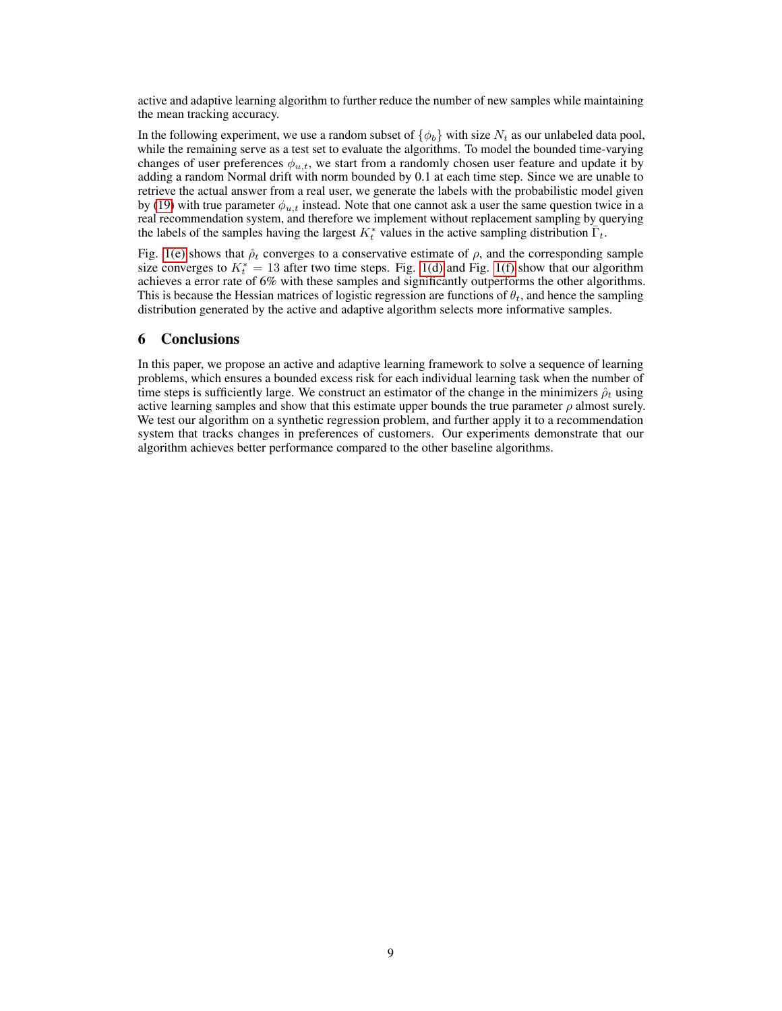active and adaptive learning algorithm to further reduce the number of new samples while maintaining the mean tracking accuracy.

In the following experiment, we use a random subset of  $\{\phi_b\}$  with size  $N_t$  as our unlabeled data pool, while the remaining serve as a test set to evaluate the algorithms. To model the bounded time-varying changes of user preferences  $\phi_{u,t}$ , we start from a randomly chosen user feature and update it by adding a random Normal drift with norm bounded by 0.1 at each time step. Since we are unable to retrieve the actual answer from a real user, we generate the labels with the probabilistic model given by [\(19\)](#page-7-4) with true parameter  $\phi_{u,t}$  instead. Note that one cannot ask a user the same question twice in a real recommendation system, and therefore we implement without replacement sampling by querying the labels of the samples having the largest  $K_t^*$  values in the active sampling distribution  $\overline{\Gamma_t}$ .

Fig. [1\(e\)](#page-7-5) shows that  $\hat{\rho}_t$  converges to a conservative estimate of  $\rho$ , and the corresponding sample size converges to  $K_t^* = 13$  after two time steps. Fig. [1\(d\)](#page-7-6) and Fig. [1\(f\)](#page-7-7) show that our algorithm achieves a error rate of 6% with these samples and significantly outperforms the other algorithms. This is because the Hessian matrices of logistic regression are functions of  $\theta_t$ , and hence the sampling distribution generated by the active and adaptive algorithm selects more informative samples.

## <span id="page-8-0"></span>6 Conclusions

In this paper, we propose an active and adaptive learning framework to solve a sequence of learning problems, which ensures a bounded excess risk for each individual learning task when the number of time steps is sufficiently large. We construct an estimator of the change in the minimizers  $\hat{\rho}_t$  using active learning samples and show that this estimate upper bounds the true parameter  $\rho$  almost surely. We test our algorithm on a synthetic regression problem, and further apply it to a recommendation system that tracks changes in preferences of customers. Our experiments demonstrate that our algorithm achieves better performance compared to the other baseline algorithms.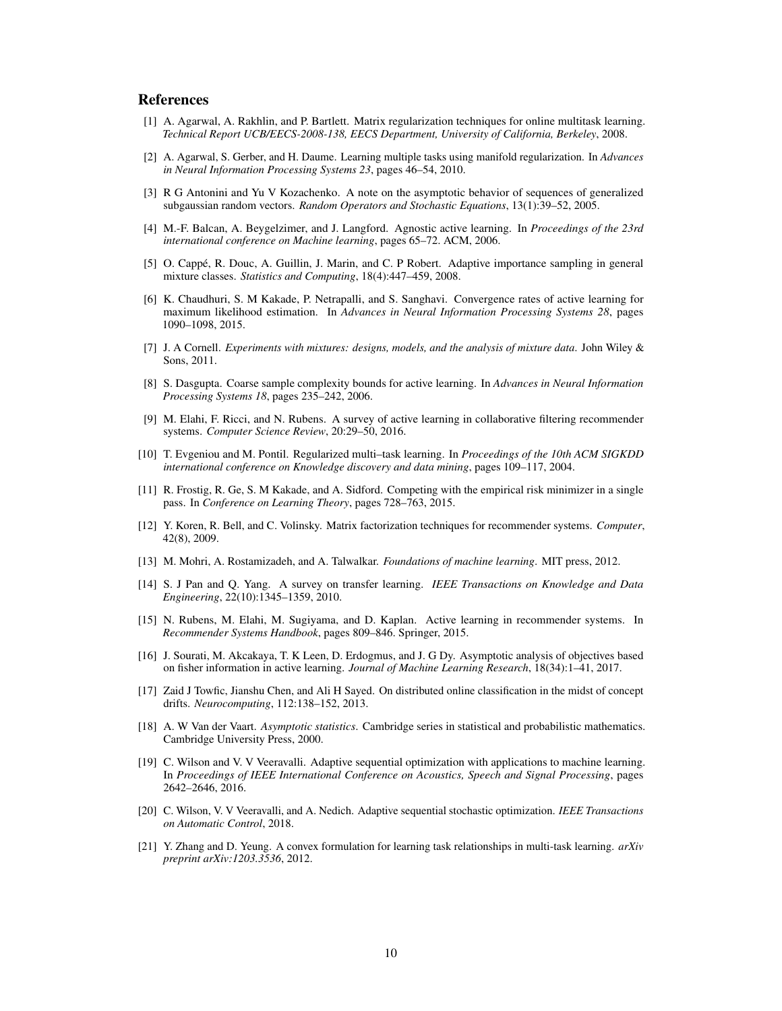# References

- <span id="page-9-7"></span>[1] A. Agarwal, A. Rakhlin, and P. Bartlett. Matrix regularization techniques for online multitask learning. *Technical Report UCB/EECS-2008-138, EECS Department, University of California, Berkeley*, 2008.
- <span id="page-9-3"></span>[2] A. Agarwal, S. Gerber, and H. Daume. Learning multiple tasks using manifold regularization. In *Advances in Neural Information Processing Systems 23*, pages 46–54, 2010.
- <span id="page-9-20"></span>[3] R G Antonini and Yu V Kozachenko. A note on the asymptotic behavior of sequences of generalized subgaussian random vectors. *Random Operators and Stochastic Equations*, 13(1):39–52, 2005.
- <span id="page-9-10"></span>[4] M.-F. Balcan, A. Beygelzimer, and J. Langford. Agnostic active learning. In *Proceedings of the 23rd international conference on Machine learning*, pages 65–72. ACM, 2006.
- <span id="page-9-18"></span>[5] O. Cappé, R. Douc, A. Guillin, J. Marin, and C. P Robert. Adaptive importance sampling in general mixture classes. *Statistics and Computing*, 18(4):447–459, 2008.
- <span id="page-9-12"></span>[6] K. Chaudhuri, S. M Kakade, P. Netrapalli, and S. Sanghavi. Convergence rates of active learning for maximum likelihood estimation. In *Advances in Neural Information Processing Systems 28*, pages 1090–1098, 2015.
- <span id="page-9-11"></span>[7] J. A Cornell. *Experiments with mixtures: designs, models, and the analysis of mixture data*. John Wiley & Sons, 2011.
- <span id="page-9-9"></span>[8] S. Dasgupta. Coarse sample complexity bounds for active learning. In *Advances in Neural Information Processing Systems 18*, pages 235–242, 2006.
- <span id="page-9-0"></span>[9] M. Elahi, F. Ricci, and N. Rubens. A survey of active learning in collaborative filtering recommender systems. *Computer Science Review*, 20:29–50, 2016.
- <span id="page-9-4"></span>[10] T. Evgeniou and M. Pontil. Regularized multi–task learning. In *Proceedings of the 10th ACM SIGKDD international conference on Knowledge discovery and data mining*, pages 109–117, 2004.
- <span id="page-9-17"></span>[11] R. Frostig, R. Ge, S. M Kakade, and A. Sidford. Competing with the empirical risk minimizer in a single pass. In *Conference on Learning Theory*, pages 728–763, 2015.
- <span id="page-9-19"></span>[12] Y. Koren, R. Bell, and C. Volinsky. Matrix factorization techniques for recommender systems. *Computer*, 42(8), 2009.
- <span id="page-9-2"></span>[13] M. Mohri, A. Rostamizadeh, and A. Talwalkar. *Foundations of machine learning*. MIT press, 2012.
- <span id="page-9-6"></span>[14] S. J Pan and Q. Yang. A survey on transfer learning. *IEEE Transactions on Knowledge and Data Engineering*, 22(10):1345–1359, 2010.
- <span id="page-9-1"></span>[15] N. Rubens, M. Elahi, M. Sugiyama, and D. Kaplan. Active learning in recommender systems. In *Recommender Systems Handbook*, pages 809–846. Springer, 2015.
- <span id="page-9-13"></span>[16] J. Sourati, M. Akcakaya, T. K Leen, D. Erdogmus, and J. G Dy. Asymptotic analysis of objectives based on fisher information in active learning. *Journal of Machine Learning Research*, 18(34):1–41, 2017.
- <span id="page-9-8"></span>[17] Zaid J Towfic, Jianshu Chen, and Ali H Sayed. On distributed online classification in the midst of concept drifts. *Neurocomputing*, 112:138–152, 2013.
- <span id="page-9-16"></span>[18] A. W Van der Vaart. *Asymptotic statistics*. Cambridge series in statistical and probabilistic mathematics. Cambridge University Press, 2000.
- <span id="page-9-15"></span>[19] C. Wilson and V. V Veeravalli. Adaptive sequential optimization with applications to machine learning. In *Proceedings of IEEE International Conference on Acoustics, Speech and Signal Processing*, pages 2642–2646, 2016.
- <span id="page-9-14"></span>[20] C. Wilson, V. V Veeravalli, and A. Nedich. Adaptive sequential stochastic optimization. *IEEE Transactions on Automatic Control*, 2018.
- <span id="page-9-5"></span>[21] Y. Zhang and D. Yeung. A convex formulation for learning task relationships in multi-task learning. *arXiv preprint arXiv:1203.3536*, 2012.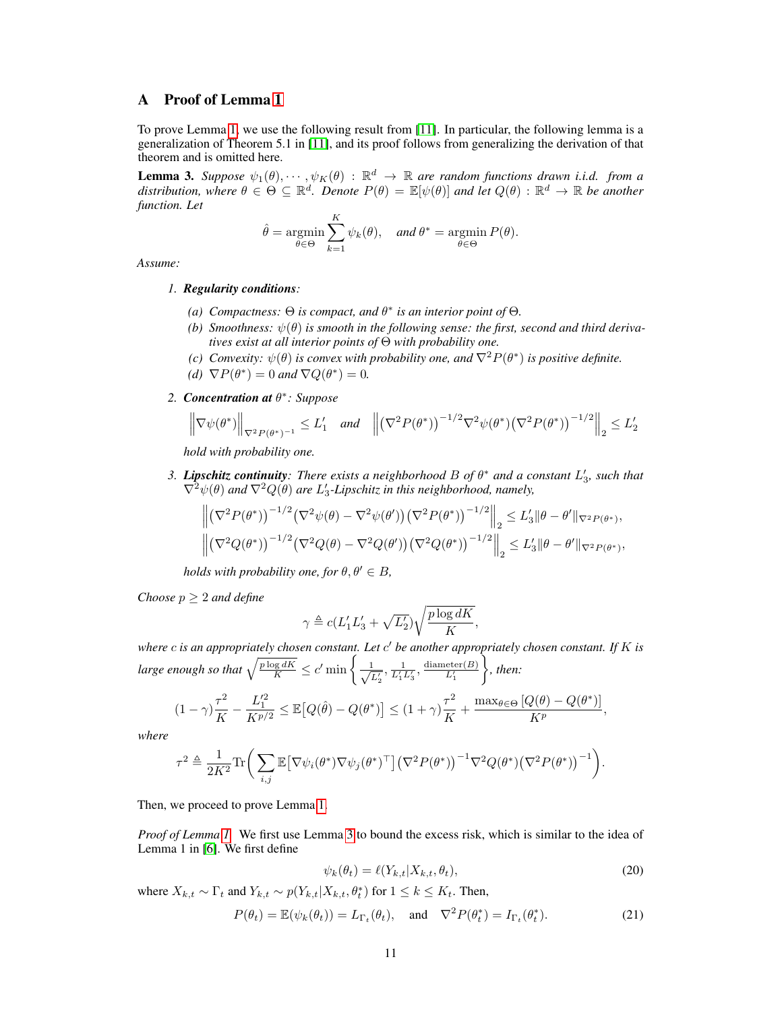# A Proof of Lemma [1](#page-4-0)

To prove Lemma [1,](#page-4-0) we use the following result from [\[11\]](#page-9-17). In particular, the following lemma is a generalization of Theorem 5.1 in [\[11\]](#page-9-17), and its proof follows from generalizing the derivation of that theorem and is omitted here.

<span id="page-10-0"></span>**Lemma 3.** Suppose  $\psi_1(\theta), \dots, \psi_K(\theta) : \mathbb{R}^d \to \mathbb{R}$  are random functions drawn i.i.d. from a distribution, where  $\theta \in \Theta \subseteq \mathbb{R}^d$ . Denote  $P(\theta) = \mathbb{E}[\psi(\theta)]$  and let  $Q(\theta) : \mathbb{R}^d \to \mathbb{R}$  be another *function. Let*

$$
\hat{\theta} = \underset{\theta \in \Theta}{\operatorname{argmin}} \sum_{k=1}^{K} \psi_k(\theta), \quad \text{and } \theta^* = \underset{\theta \in \Theta}{\operatorname{argmin}} P(\theta).
$$

*Assume:*

#### *1. Regularity conditions:*

- (a) *Compactness:*  $\Theta$  *is compact, and*  $\theta^*$  *is an interior point of*  $\Theta$ *.*
- (b) Smoothness:  $\psi(\theta)$  is smooth in the following sense: the first, second and third deriva*tives exist at all interior points of* Θ *with probability one.*
- *(c) Convexity:*  $\psi(\theta)$  *is convex with probability one, and*  $\nabla^2 P(\theta^*)$  *is positive definite.*
- (*d*)  $\nabla P(\theta^*) = 0$  *and*  $\nabla Q(\theta^*) = 0$ *.*
- *2. Concentration at* θ ∗ *: Suppose*

$$
\left\|\nabla\psi(\theta^*)\right\|_{\nabla^2 P(\theta^*)^{-1}} \le L_1' \quad \text{and} \quad \left\|\left(\nabla^2 P(\theta^*)\right)^{-1/2} \nabla^2 \psi(\theta^*)\left(\nabla^2 P(\theta^*)\right)^{-1/2}\right\|_2 \le L_2'
$$

*hold with probability one.*

3. Lipschitz continuity: There exists a neighborhood B of  $\theta^*$  and a constant  $L'_3$ , such that  $\nabla^2 \psi(\theta)$  and  $\nabla^2 Q(\theta)$  are  $L'_3$ -Lipschitz in this neighborhood, namely,

$$
\left\| \left(\nabla^2 P(\theta^*)\right)^{-1/2} \left(\nabla^2 \psi(\theta) - \nabla^2 \psi(\theta')\right) \left(\nabla^2 P(\theta^*)\right)^{-1/2} \right\|_2 \leq L_3' \|\theta - \theta'\|_{\nabla^2 P(\theta^*)},
$$
  

$$
\left\| \left(\nabla^2 Q(\theta^*)\right)^{-1/2} \left(\nabla^2 Q(\theta) - \nabla^2 Q(\theta')\right) \left(\nabla^2 Q(\theta^*)\right)^{-1/2} \right\|_2 \leq L_3' \|\theta - \theta'\|_{\nabla^2 P(\theta^*)},
$$

*holds with probability one, for*  $\theta, \theta' \in B$ ,

*Choose*  $p \geq 2$  *and define* 

$$
\gamma \triangleq c(L_1'L_3' + \sqrt{L_2'})\sqrt{\frac{p\log dK}{K}},
$$

where c is an appropriately chosen constant. Let c<sup>'</sup> be another appropriately chosen constant. If K is *large enough so that*  $\sqrt{\frac{p \log dK}{K}} \le c' \min \left\{ \frac{1}{\sqrt{d}} \right\}$  $\frac{1}{L_2'}, \frac{1}{L_1'L_3'}, \frac{\text{diameter}(B)}{L_1'}$ *, then:*

$$
(1 - \gamma) \frac{\tau^2}{K} - \frac{L_1'^2}{K^{p/2}} \le \mathbb{E}\big[Q(\hat{\theta}) - Q(\theta^*)\big] \le (1 + \gamma) \frac{\tau^2}{K} + \frac{\max_{\theta \in \Theta} \big[Q(\theta) - Q(\theta^*)\big]}{K^p},
$$

*where*

$$
\tau^2 \triangleq \frac{1}{2K^2} \text{Tr} \bigg( \sum_{i,j} \mathbb{E} \big[ \nabla \psi_i(\theta^*) \nabla \psi_j(\theta^*)^\top \big] \big( \nabla^2 P(\theta^*) \big)^{-1} \nabla^2 Q(\theta^*) \big( \nabla^2 P(\theta^*) \big)^{-1} \bigg).
$$

Then, we proceed to prove Lemma [1.](#page-4-0)

*Proof of Lemma [1.](#page-4-0)* We first use Lemma [3](#page-10-0) to bound the excess risk, which is similar to the idea of Lemma 1 in [\[6\]](#page-9-12). We first define

$$
\psi_k(\theta_t) = \ell(Y_{k,t} | X_{k,t}, \theta_t), \qquad (20)
$$

where  $X_{k,t} \sim \Gamma_t$  and  $Y_{k,t} \sim p(Y_{k,t} | X_{k,t}, \theta_t^*)$  for  $1 \leq k \leq K_t$ . Then,  $P(\theta_t) = \mathbb{E}(\psi_k(\theta_t)) = L_{\Gamma_t}(\theta_t), \text{ and } \nabla^2 P(\theta_t^*) = I_{\Gamma_t}(\theta_t^*)$  $(21)$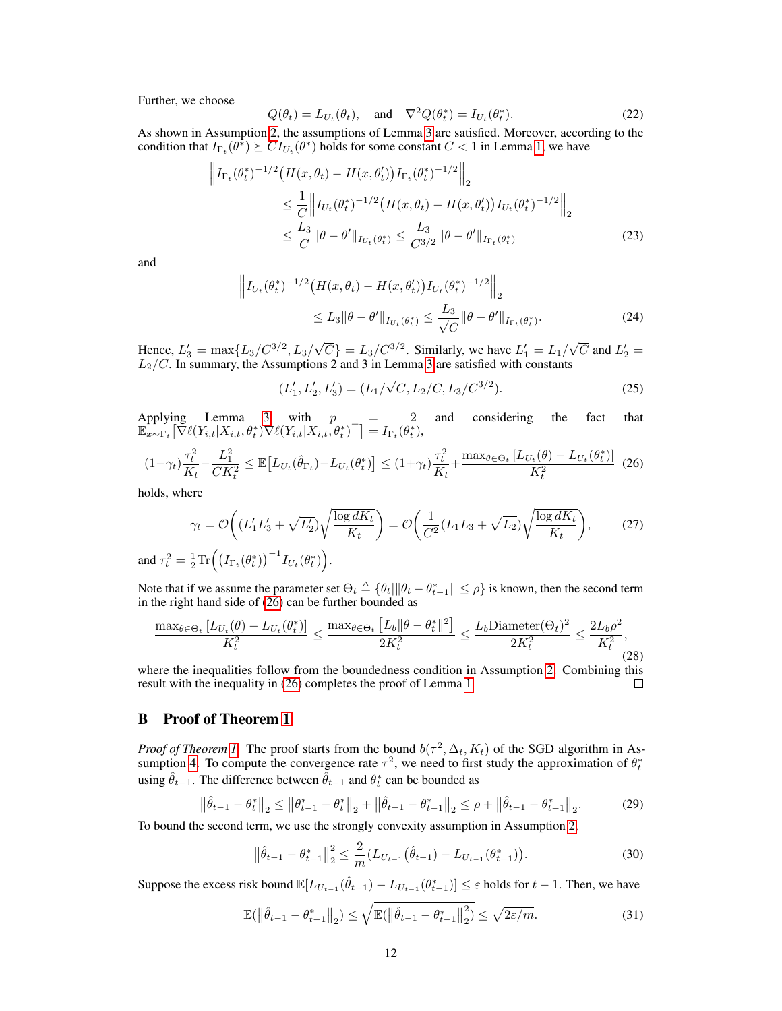Further, we choose

$$
Q(\theta_t) = L_{U_t}(\theta_t), \quad \text{and} \quad \nabla^2 Q(\theta_t^*) = I_{U_t}(\theta_t^*).
$$
 (22)

As shown in Assumption [2,](#page-3-2) the assumptions of Lemma [3](#page-10-0) are satisfied. Moreover, according to the condition that  $I_{\Gamma_t}(\theta^*) \succeq CI_{U_t}(\theta^*)$  holds for some constant  $C < 1$  in Lemma [1,](#page-4-0) we have

$$
\left\| I_{\Gamma_t}(\theta_t^*)^{-1/2} \left( H(x, \theta_t) - H(x, \theta_t') \right) I_{\Gamma_t}(\theta_t^*)^{-1/2} \right\|_2
$$
  
\n
$$
\leq \frac{1}{C} \left\| I_{U_t}(\theta_t^*)^{-1/2} \left( H(x, \theta_t) - H(x, \theta_t') \right) I_{U_t}(\theta_t^*)^{-1/2} \right\|_2
$$
  
\n
$$
\leq \frac{L_3}{C} \|\theta - \theta' \|_{I_{U_t}(\theta_t^*)} \leq \frac{L_3}{C^{3/2}} \|\theta - \theta' \|_{I_{\Gamma_t}(\theta_t^*)}
$$
(23)

and

$$
\left\| I_{U_t}(\theta_t^*)^{-1/2} \left( H(x, \theta_t) - H(x, \theta_t') \right) I_{U_t}(\theta_t^*)^{-1/2} \right\|_2
$$
  
\$\leq L\_3 \|\theta - \theta'\|\_{I\_{U\_t}(\theta\_t^\*)} \leq \frac{L\_3}{\sqrt{C}} \|\theta - \theta'\|\_{I\_{\Gamma\_t}(\theta\_t^\*)}. \tag{24}

Hence,  $L'_3 = \max\{L_3/C^{3/2}, L_3/$  $\sqrt{C}$ } =  $L_3/C^{3/2}$ . Similarly, we have  $L'_1 = L_1$ / √  $\overline{C}$  and  $L'_2 =$  $L_2/C$ . In summary, the Assumptions 2 and [3](#page-10-0) in Lemma 3 are satisfied with constants

<span id="page-11-0"></span>
$$
(L'_1, L'_2, L'_3) = (L_1/\sqrt{C}, L_2/C, L_3/C^{3/2}).
$$
\n(25)

Applying Lemma [3](#page-10-0) with  $p = 2$  and considering the fact that  $\mathbb{E}_{x \sim \Gamma_t}^{\text{max}} \big[ \breve{\nabla} \ell(Y_{i,t} | X_{i,t}, \theta^*_t) \nabla \ell(Y_{i,t} | X_{i,t}, \theta^*_t)^\top \big] = I_{\Gamma_t}(\theta^*_t),$ 

$$
(1 - \gamma_t) \frac{\tau_t^2}{K_t} - \frac{L_1^2}{CK_t^2} \le \mathbb{E} \left[ L_{U_t}(\hat{\theta}_{\Gamma_t}) - L_{U_t}(\theta_t^*) \right] \le (1 + \gamma_t) \frac{\tau_t^2}{K_t} + \frac{\max_{\theta \in \Theta_t} \left[ L_{U_t}(\theta) - L_{U_t}(\theta_t^*) \right]}{K_t^2} \tag{26}
$$

holds, where

$$
\gamma_t = \mathcal{O}\left((L_1'L_3' + \sqrt{L_2'})\sqrt{\frac{\log dK_t}{K_t}}\right) = \mathcal{O}\left(\frac{1}{C^2}(L_1L_3 + \sqrt{L_2})\sqrt{\frac{\log dK_t}{K_t}}\right),\tag{27}
$$

and  $\tau_t^2 = \frac{1}{2} \text{Tr} \left( \left( I_{\Gamma_t}(\theta_t^*) \right)^{-1} I_{U_t}(\theta_t^*) \right)$ .

Note that if we assume the parameter set  $\Theta_t \triangleq {\{\theta_t | ||\theta_t - \theta_{t-1}^*|| \leq \rho\}}$  is known, then the second term in the right hand side of [\(26\)](#page-11-0) can be further bounded as

$$
\frac{\max_{\theta \in \Theta_t} \left[ L_{U_t}(\theta) - L_{U_t}(\theta_t^*) \right]}{K_t^2} \le \frac{\max_{\theta \in \Theta_t} \left[ L_b \|\theta - \theta_t^*\|^2 \right]}{2K_t^2} \le \frac{L_b \text{Diameter}(\Theta_t)^2}{2K_t^2} \le \frac{2L_b\rho^2}{K_t^2},\tag{28}
$$

where the inequalities follow from the boundedness condition in Assumption [2.](#page-3-2) Combining this result with the inequality in [\(26\)](#page-11-0) completes the proof of Lemma [1.](#page-4-0)  $\Box$ 

## B Proof of Theorem [1](#page-5-2)

*Proof of Theorem [1.](#page-5-2)* The proof starts from the bound  $b(\tau^2, \Delta_t, K_t)$  of the SGD algorithm in As-sumption [4.](#page-4-2) To compute the convergence rate  $\tau^2$ , we need to first study the approximation of  $\theta_t^*$ using  $\hat{\theta}_{t-1}$ . The difference between  $\hat{\theta}_{t-1}$  and  $\theta_t^*$  can be bounded as

$$
\left\|\hat{\theta}_{t-1} - \theta_t^*\right\|_2 \le \left\|\theta_{t-1}^* - \theta_t^*\right\|_2 + \left\|\hat{\theta}_{t-1} - \theta_{t-1}^*\right\|_2 \le \rho + \left\|\hat{\theta}_{t-1} - \theta_{t-1}^*\right\|_2. \tag{29}
$$

To bound the second term, we use the strongly convexity assumption in Assumption [2,](#page-3-2)

<span id="page-11-1"></span>
$$
\left\|\hat{\theta}_{t-1} - \theta_{t-1}^*\right\|_2^2 \le \frac{2}{m} (L_{U_{t-1}}(\hat{\theta}_{t-1}) - L_{U_{t-1}}(\theta_{t-1}^*)).
$$
\n(30)

Suppose the excess risk bound  $\mathbb{E}[L_{U_{t-1}}(\hat{\theta}_{t-1}) - L_{U_{t-1}}(\theta_{t-1}^*)] \leq \varepsilon$  holds for  $t-1$ . Then, we have

$$
\mathbb{E}(\left\|\hat{\theta}_{t-1} - \theta_{t-1}^*\right\|_2) \le \sqrt{\mathbb{E}(\left\|\hat{\theta}_{t-1} - \theta_{t-1}^*\right\|_2^2)} \le \sqrt{2\varepsilon/m}.
$$
\n(31)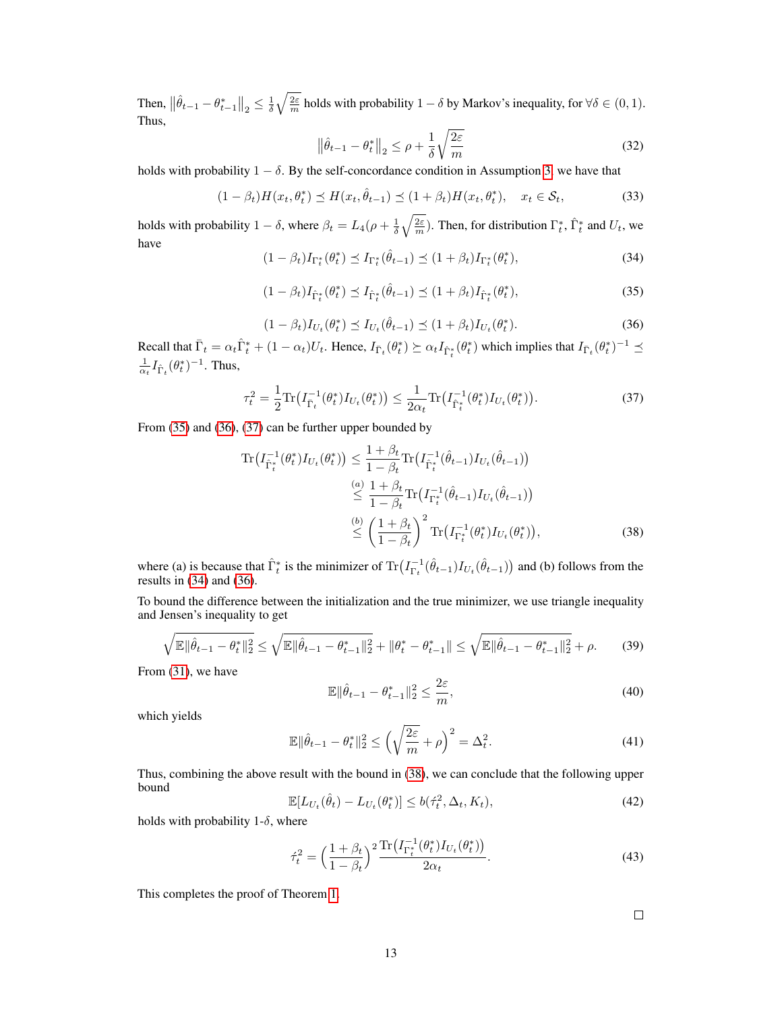Then,  $\|\hat{\theta}_{t-1} - \theta_{t-1}^*\|_2 \leq \frac{1}{\delta} \sqrt{\frac{2\varepsilon}{m}}$  holds with probability  $1 - \delta$  by Markov's inequality, for  $\forall \delta \in (0, 1)$ . Thus,

$$
\left\|\hat{\theta}_{t-1} - \theta_t^*\right\|_2 \le \rho + \frac{1}{\delta} \sqrt{\frac{2\varepsilon}{m}}\tag{32}
$$

holds with probability  $1 - \delta$ . By the self-concordance condition in Assumption [3,](#page-4-3) we have that

$$
(1 - \beta_t)H(x_t, \theta_t^*) \preceq H(x_t, \hat{\theta}_{t-1}) \preceq (1 + \beta_t)H(x_t, \theta_t^*), \quad x_t \in \mathcal{S}_t,
$$
\n
$$
(33)
$$

<span id="page-12-3"></span><span id="page-12-0"></span>holds with probability  $1 - \delta$ , where  $\beta_t = L_4(\rho + \frac{1}{\delta}\sqrt{\frac{2\varepsilon}{m}})$ . Then, for distribution  $\Gamma_t^*$ ,  $\hat{\Gamma}_t^*$  and  $U_t$ , we have

$$
(1 - \beta_t)I_{\Gamma_t^*}(\theta_t^*) \preceq I_{\Gamma_t^*}(\hat{\theta}_{t-1}) \preceq (1 + \beta_t)I_{\Gamma_t^*}(\theta_t^*),\tag{34}
$$

$$
(1 - \beta_t)I_{\hat{\Gamma}_t^*}(\theta_t^*) \preceq I_{\hat{\Gamma}_t^*}(\hat{\theta}_{t-1}) \preceq (1 + \beta_t)I_{\hat{\Gamma}_t^*}(\theta_t^*),
$$
\n(35)

$$
(1 - \beta_t)I_{U_t}(\theta_t^*) \le I_{U_t}(\hat{\theta}_{t-1}) \le (1 + \beta_t)I_{U_t}(\theta_t^*).
$$
\n(36)

<span id="page-12-1"></span>Recall that  $\bar{\Gamma}_t = \alpha_t \hat{\Gamma}_t^* + (1 - \alpha_t)U_t$ . Hence,  $I_{\bar{\Gamma}_t}(\theta_t^*) \succeq \alpha_t I_{\hat{\Gamma}_t^*}(\theta_t^*)$  which implies that  $I_{\bar{\Gamma}_t}(\theta_t^*)^{-1} \preceq$  $\frac{1}{\alpha_t} I_{\hat{\Gamma}_t}(\theta_t^*)^{-1}$ . Thus,

<span id="page-12-2"></span>
$$
\tau_t^2 = \frac{1}{2} \text{Tr} \left( I_{\tilde{\Gamma}_t}^{-1}(\theta_t^*) I_{U_t}(\theta_t^*) \right) \le \frac{1}{2\alpha_t} \text{Tr} \left( I_{\hat{\Gamma}_t^*}^{-1}(\theta_t^*) I_{U_t}(\theta_t^*) \right). \tag{37}
$$

From [\(35\)](#page-12-0) and [\(36\)](#page-12-1), [\(37\)](#page-12-2) can be further upper bounded by

$$
\operatorname{Tr}\left(I_{\hat{\Gamma}_{t}^{*}}^{-1}(\theta_{t}^{*})I_{U_{t}}(\theta_{t}^{*})\right) \leq \frac{1+\beta_{t}}{1-\beta_{t}} \operatorname{Tr}\left(I_{\hat{\Gamma}_{t}^{*}}^{-1}(\hat{\theta}_{t-1})I_{U_{t}}(\hat{\theta}_{t-1})\right)
$$
\n
$$
\stackrel{(a)}{\leq} \frac{1+\beta_{t}}{1-\beta_{t}} \operatorname{Tr}\left(I_{\Gamma_{t}^{*}}^{-1}(\hat{\theta}_{t-1})I_{U_{t}}(\hat{\theta}_{t-1})\right)
$$
\n
$$
\stackrel{(b)}{\leq} \left(\frac{1+\beta_{t}}{1-\beta_{t}}\right)^{2} \operatorname{Tr}\left(I_{\Gamma_{t}^{*}}^{-1}(\theta_{t}^{*})I_{U_{t}}(\theta_{t}^{*})\right),
$$
\n(38)

where (a) is because that  $\hat{\Gamma}_t^*$  is the minimizer of  $\text{Tr}\left(\hat{I}_{\Gamma_t}^{-1}(\hat{\theta}_{t-1})I_{U_t}(\hat{\theta}_{t-1})\right)$  and (b) follows from the results in [\(34\)](#page-12-3) and [\(36\)](#page-12-1).

To bound the difference between the initialization and the true minimizer, we use triangle inequality and Jensen's inequality to get

$$
\sqrt{\mathbb{E}||\hat{\theta}_{t-1} - \theta_t^*||_2^2} \le \sqrt{\mathbb{E}||\hat{\theta}_{t-1} - \theta_{t-1}^*||_2^2} + ||\theta_t^* - \theta_{t-1}^*|| \le \sqrt{\mathbb{E}||\hat{\theta}_{t-1} - \theta_{t-1}^*||_2^2} + \rho. \tag{39}
$$

From [\(31\)](#page-11-1), we have

<span id="page-12-4"></span>
$$
\mathbb{E} \|\hat{\theta}_{t-1} - \theta_{t-1}^*\|_2^2 \le \frac{2\varepsilon}{m},\tag{40}
$$

which yields

$$
\mathbb{E} \|\hat{\theta}_{t-1} - \theta_t^*\|_2^2 \le \left(\sqrt{\frac{2\varepsilon}{m}} + \rho\right)^2 = \Delta_t^2. \tag{41}
$$

Thus, combining the above result with the bound in [\(38\)](#page-12-4), we can conclude that the following upper bound

$$
\mathbb{E}[L_{U_t}(\hat{\theta}_t) - L_{U_t}(\theta_t^*)] \le b(\hat{\tau}_t^2, \Delta_t, K_t),\tag{42}
$$

holds with probability 1- $\delta$ , where

$$
\hat{\tau}_t^2 = \left(\frac{1+\beta_t}{1-\beta_t}\right)^2 \frac{\text{Tr}\left(I_{\Gamma_t^*}^{-1}(\theta_t^*)I_{U_t}(\theta_t^*)\right)}{2\alpha_t}.
$$
\n(43)

This completes the proof of Theorem [1.](#page-5-2)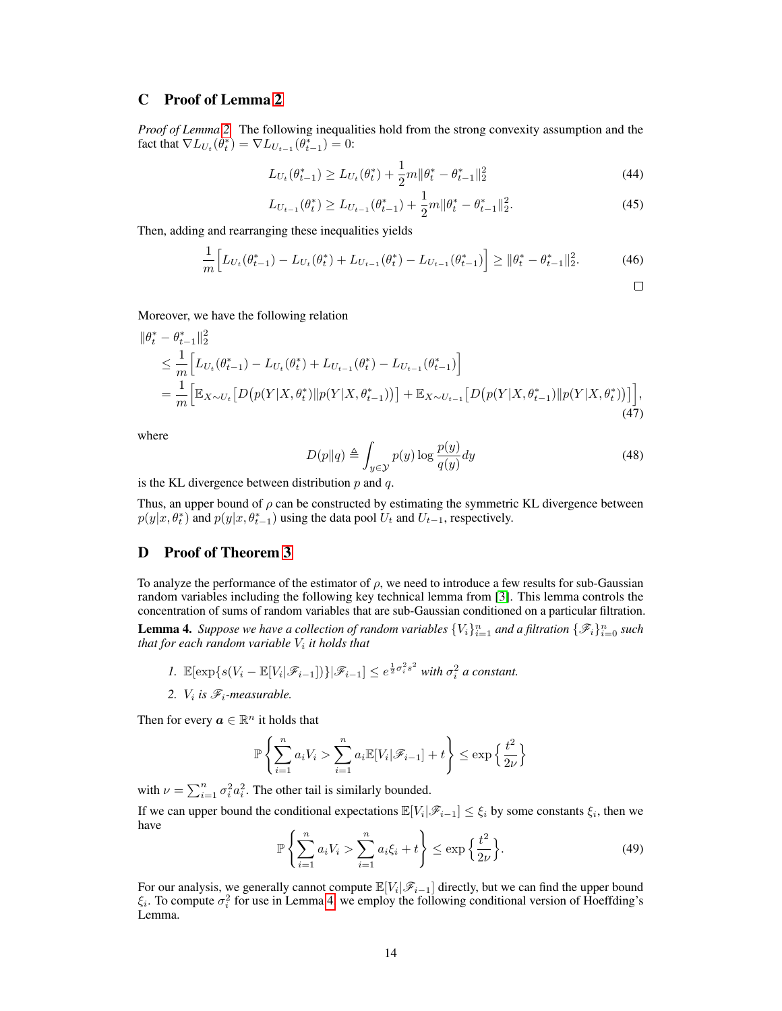## C Proof of Lemma [2](#page-5-3)

*Proof of Lemma [2.](#page-5-3)* The following inequalities hold from the strong convexity assumption and the fact that  $\nabla L_{U_t}(\theta_t^*) = \nabla L_{U_{t-1}}(\theta_{t-1}^*) = 0$ :

$$
L_{U_t}(\theta_{t-1}^*) \ge L_{U_t}(\theta_t^*) + \frac{1}{2}m \|\theta_t^* - \theta_{t-1}^*\|_2^2
$$
\n(44)

$$
L_{U_{t-1}}(\theta_t^*) \ge L_{U_{t-1}}(\theta_{t-1}^*) + \frac{1}{2}m \|\theta_t^* - \theta_{t-1}^*\|_2^2.
$$
 (45)

Then, adding and rearranging these inequalities yields

$$
\frac{1}{m} \Big[ L_{U_t}(\theta_{t-1}^*) - L_{U_t}(\theta_t^*) + L_{U_{t-1}}(\theta_t^*) - L_{U_{t-1}}(\theta_{t-1}^*) \Big] \ge ||\theta_t^* - \theta_{t-1}^*||_2^2. \tag{46}
$$

$$
\Box
$$

Moreover, we have the following relation

$$
\|\theta_t^* - \theta_{t-1}^*\|_2^2
$$
\n
$$
\leq \frac{1}{m} \Big[ L_{U_t}(\theta_{t-1}^*) - L_{U_t}(\theta_t^*) + L_{U_{t-1}}(\theta_t^*) - L_{U_{t-1}}(\theta_{t-1}^*) \Big]
$$
\n
$$
= \frac{1}{m} \Big[ \mathbb{E}_{X \sim U_t} \big[ D\big(p(Y|X, \theta_t^*) \| p(Y|X, \theta_{t-1}^*)\big) \big] + \mathbb{E}_{X \sim U_{t-1}} \big[ D\big(p(Y|X, \theta_{t-1}^*) \| p(Y|X, \theta_t^*)\big) \big] \Big],
$$
\n(47)

where

$$
D(p||q) \triangleq \int_{y \in \mathcal{Y}} p(y) \log \frac{p(y)}{q(y)} dy \tag{48}
$$

is the KL divergence between distribution  $p$  and  $q$ .

Thus, an upper bound of  $\rho$  can be constructed by estimating the symmetric KL divergence between  $p(y|x, \theta_t^*)$  and  $p(y|x, \theta_{t-1}^*)$  using the data pool  $U_t$  and  $U_{t-1}$ , respectively.

#### D Proof of Theorem [3](#page-6-3)

To analyze the performance of the estimator of  $\rho$ , we need to introduce a few results for sub-Gaussian random variables including the following key technical lemma from [\[3\]](#page-9-20). This lemma controls the concentration of sums of random variables that are sub-Gaussian conditioned on a particular filtration.

<span id="page-13-0"></span>**Lemma 4.** Suppose we have a collection of random variables  $\{V_i\}_{i=1}^n$  and a filtration  $\{\mathscr{F}_i\}_{i=0}^n$  such that for each random variable  $V_i$  it holds that

- *1.*  $\mathbb{E}[\exp\{s(V_i \mathbb{E}[V_i|\mathscr{F}_{i-1}])\}|\mathscr{F}_{i-1}] \leq e^{\frac{1}{2}\sigma_i^2 s^2}$  with  $\sigma_i^2$  a constant.
- 2.  $V_i$  is  $\mathscr{F}_i$ -measurable.

Then for every  $a \in \mathbb{R}^n$  it holds that

$$
\mathbb{P}\left\{\sum_{i=1}^{n} a_i V_i > \sum_{i=1}^{n} a_i \mathbb{E}[V_i|\mathscr{F}_{i-1}] + t\right\} \le \exp\left\{\frac{t^2}{2\nu}\right\}
$$

with  $\nu = \sum_{i=1}^{n} \sigma_i^2 a_i^2$ . The other tail is similarly bounded.

<span id="page-13-1"></span>If we can upper bound the conditional expectations  $\mathbb{E}[V_i|\mathscr{F}_{i-1}] \leq \xi_i$  by some constants  $\xi_i$ , then we have

$$
\mathbb{P}\left\{\sum_{i=1}^{n}a_{i}V_{i} > \sum_{i=1}^{n}a_{i}\xi_{i} + t\right\} \leq \exp\left\{\frac{t^{2}}{2\nu}\right\}.
$$
\n(49)

For our analysis, we generally cannot compute  $\mathbb{E}[V_i|\mathscr{F}_{i-1}]$  directly, but we can find the upper bound  $\xi_i$ . To compute  $\sigma_i^2$  for use in Lemma [4,](#page-13-0) we employ the following conditional version of Hoeffding's Lemma.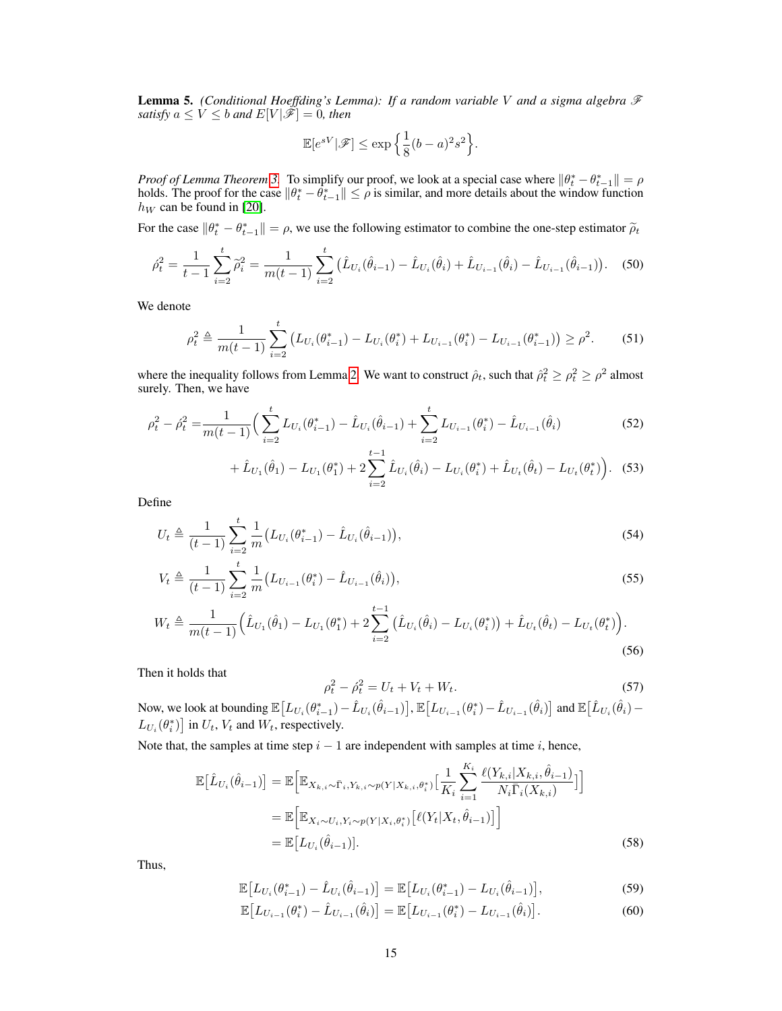<span id="page-14-1"></span>Lemma 5. *(Conditional Hoeffding's Lemma): If a random variable* V *and a sigma algebra* F *satisfy*  $a \leq V \leq b$  *and*  $E[V|\tilde{\mathcal{F}}] = 0$ *, then* 

$$
\mathbb{E}[e^{sV}|\mathscr{F}]\leq \exp\Big\{\frac{1}{8}(b-a)^2s^2\Big\}.
$$

*Proof of Lemma Theorem [3.](#page-6-3)* To simplify our proof, we look at a special case where  $\|\theta_t^* - \theta_{t-1}^*\| = \rho$ holds. The proof for the case  $\|\theta_t^* - \theta_{t-1}^*\| \le \rho$  is similar, and more details about the window function  $h_W$  can be found in [\[20\]](#page-9-14).

For the case  $\|\theta_t^* - \theta_{t-1}^*\| = \rho$ , we use the following estimator to combine the one-step estimator  $\tilde{\rho}_t$ 

$$
\hat{\rho}_t^2 = \frac{1}{t-1} \sum_{i=2}^t \hat{\rho}_i^2 = \frac{1}{m(t-1)} \sum_{i=2}^t (\hat{L}_{U_i}(\hat{\theta}_{i-1}) - \hat{L}_{U_i}(\hat{\theta}_i) + \hat{L}_{U_{i-1}}(\hat{\theta}_i) - \hat{L}_{U_{i-1}}(\hat{\theta}_{i-1})).
$$
 (50)

We denote

$$
\rho_t^2 \triangleq \frac{1}{m(t-1)} \sum_{i=2}^t \left( L_{U_i}(\theta_{i-1}^*) - L_{U_i}(\theta_i^*) + L_{U_{i-1}}(\theta_i^*) - L_{U_{i-1}}(\theta_{i-1}^*) \right) \ge \rho^2.
$$
 (51)

where the inequality follows from Lemma [2.](#page-5-3) We want to construct  $\hat{\rho}_t$ , such that  $\hat{\rho}_t^2 \ge \rho_t^2 \ge \rho^2$  almost surely. Then, we have

$$
\rho_t^2 - \hat{\rho}_t^2 = \frac{1}{m(t-1)} \Big( \sum_{i=2}^t L_{U_i}(\theta_{i-1}^*) - \hat{L}_{U_i}(\hat{\theta}_{i-1}) + \sum_{i=2}^t L_{U_{i-1}}(\theta_i^*) - \hat{L}_{U_{i-1}}(\hat{\theta}_i) \tag{52}
$$

+ 
$$
\hat{L}_{U_1}(\hat{\theta}_1) - L_{U_1}(\theta_1^*) + 2 \sum_{i=2}^{t-1} \hat{L}_{U_i}(\hat{\theta}_i) - L_{U_i}(\theta_i^*) + \hat{L}_{U_t}(\hat{\theta}_t) - L_{U_t}(\theta_t^*)
$$
 (53)

Define

$$
U_t \triangleq \frac{1}{(t-1)} \sum_{i=2}^t \frac{1}{m} \left( L_{U_i}(\theta_{i-1}^*) - \hat{L}_{U_i}(\hat{\theta}_{i-1}) \right),\tag{54}
$$

$$
V_t \triangleq \frac{1}{(t-1)} \sum_{i=2}^t \frac{1}{m} \left( L_{U_{i-1}}(\theta_i^*) - \hat{L}_{U_{i-1}}(\hat{\theta}_i) \right),\tag{55}
$$

$$
W_t \triangleq \frac{1}{m(t-1)} \Big( \hat{L}_{U_1}(\hat{\theta}_1) - L_{U_1}(\theta_1^*) + 2 \sum_{i=2}^{t-1} \big( \hat{L}_{U_i}(\hat{\theta}_i) - L_{U_i}(\theta_i^*) \big) + \hat{L}_{U_t}(\hat{\theta}_t) - L_{U_t}(\theta_t^*) \Big). \tag{56}
$$

Then it holds that

<span id="page-14-0"></span>
$$
\rho_t^2 - \dot{\rho}_t^2 = U_t + V_t + W_t. \tag{57}
$$

Now, we look at bounding  $\mathbb{E}\big[L_{U_i}(\theta^*_{i-1}) - \hat{L}_{U_i}(\hat{\theta}_{i-1})\big], \mathbb{E}\big[L_{U_{i-1}}(\theta^*_i) - \hat{L}_{U_{i-1}}(\hat{\theta}_i)\big]$  and  $\mathbb{E}\big[\hat{L}_{U_i}(\hat{\theta}_i) L_{U_i}(\theta_i^*)$  in  $U_t$ ,  $V_t$  and  $W_t$ , respectively.

Note that, the samples at time step  $i - 1$  are independent with samples at time i, hence,

$$
\mathbb{E}\left[\hat{L}_{U_i}(\hat{\theta}_{i-1})\right] = \mathbb{E}\left[\mathbb{E}_{X_{k,i}\sim\bar{\Gamma}_i,Y_{k,i}\sim p(Y|X_{k,i},\theta_i^*)}\left[\frac{1}{K_i}\sum_{i=1}^{K_i}\frac{\ell(Y_{k,i}|X_{k,i},\hat{\theta}_{i-1})}{N_i\bar{\Gamma}_i(X_{k,i})}\right]\right]
$$

$$
= \mathbb{E}\left[\mathbb{E}_{X_i\sim U_i,Y_i\sim p(Y|X_i,\theta_i^*)}\left[\ell(Y_t|X_t,\hat{\theta}_{i-1})\right]\right]
$$

$$
= \mathbb{E}\left[L_{U_i}(\hat{\theta}_{i-1})\right].
$$
(58)

Thus,

$$
\mathbb{E}\left[L_{U_i}(\theta_{i-1}^*) - \hat{L}_{U_i}(\hat{\theta}_{i-1})\right] = \mathbb{E}\left[L_{U_i}(\theta_{i-1}^*) - L_{U_i}(\hat{\theta}_{i-1})\right],\tag{59}
$$

$$
\mathbb{E}\big[L_{U_{i-1}}(\theta_i^*) - \hat{L}_{U_{i-1}}(\hat{\theta}_i)\big] = \mathbb{E}\big[L_{U_{i-1}}(\theta_i^*) - L_{U_{i-1}}(\hat{\theta}_i)\big].\tag{60}
$$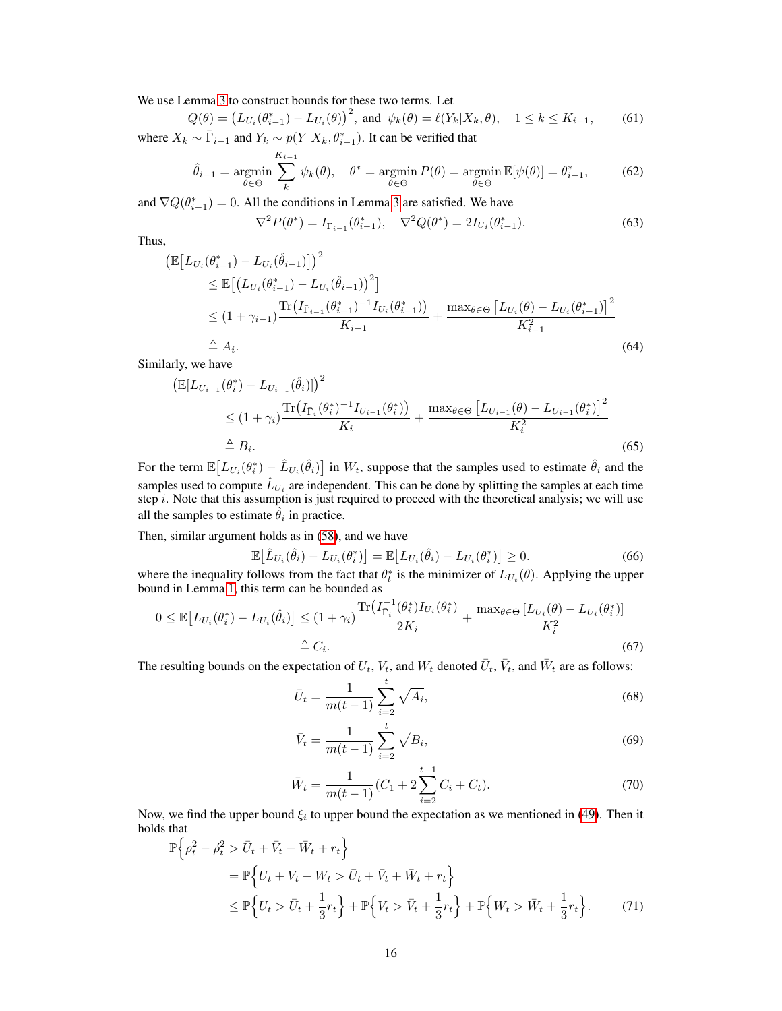We use Lemma [3](#page-10-0) to construct bounds for these two terms. Let

$$
Q(\theta) = \left(L_{U_i}(\theta_{i-1}^*) - L_{U_i}(\theta)\right)^2, \text{ and } \psi_k(\theta) = \ell(Y_k | X_k, \theta), \quad 1 \le k \le K_{i-1},\tag{61}
$$

where  $X_k \sim \overline{\Gamma}_{i-1}$  and  $Y_k \sim p(Y|X_k, \theta_{i-1}^*)$ . It can be verified that

$$
\hat{\theta}_{i-1} = \underset{\theta \in \Theta}{\operatorname{argmin}} \sum_{k}^{K_{i-1}} \psi_k(\theta), \quad \theta^* = \underset{\theta \in \Theta}{\operatorname{argmin}} P(\theta) = \underset{\theta \in \Theta}{\operatorname{argmin}} \mathbb{E}[\psi(\theta)] = \theta_{i-1}^*,\tag{62}
$$

and  $\nabla Q(\theta_{i-1}^*) = 0$ . All the conditions in Lemma [3](#page-10-0) are satisfied. We have

$$
\nabla^2 P(\theta^*) = I_{\Gamma_{i-1}}(\theta^*_{i-1}), \quad \nabla^2 Q(\theta^*) = 2I_{U_i}(\theta^*_{i-1}).\tag{63}
$$

Thus,

$$
\begin{split} \left(\mathbb{E}\left[L_{U_{i}}(\theta_{i-1}^{*})-L_{U_{i}}(\hat{\theta}_{i-1})\right]\right)^{2} \\ &\leq \mathbb{E}\left[\left(L_{U_{i}}(\theta_{i-1}^{*})-L_{U_{i}}(\hat{\theta}_{i-1})\right)^{2}\right] \\ &\leq (1+\gamma_{i-1})\frac{\text{Tr}\left(I_{\Gamma_{i-1}}(\theta_{i-1}^{*})^{-1}I_{U_{i}}(\theta_{i-1}^{*})\right)}{K_{i-1}} + \frac{\max_{\theta \in \Theta}\left[L_{U_{i}}(\theta)-L_{U_{i}}(\theta_{i-1}^{*})\right]^{2}}{K_{i-1}^{2}} \\ &\triangleq A_{i}. \end{split} \tag{64}
$$

Similarly, we have

$$
\begin{split} \left(\mathbb{E}[L_{U_{i-1}}(\theta_i^*) - L_{U_{i-1}}(\hat{\theta}_i)]\right)^2 \\ &\leq (1 + \gamma_i) \frac{\text{Tr}\big(I_{\bar{\Gamma}_i}(\theta_i^*)^{-1}I_{U_{i-1}}(\theta_i^*)\big)}{K_i} + \frac{\max_{\theta \in \Theta} \big[L_{U_{i-1}}(\theta) - L_{U_{i-1}}(\theta_i^*)\big]^2}{K_i^2} \\ &\triangleq B_i. \end{split} \tag{65}
$$

For the term  $\mathbb{E}\big[L_{U_i}(\theta_i^*) - \hat{L}_{U_i}(\hat{\theta}_i)\big]$  in  $W_t$ , suppose that the samples used to estimate  $\hat{\theta}_i$  and the samples used to compute  $\hat{L}_{U_i}$  are independent. This can be done by splitting the samples at each time step  $i$ . Note that this assumption is just required to proceed with the theoretical analysis; we will use all the samples to estimate  $\hat{\theta}_i$  in practice.

Then, similar argument holds as in [\(58\)](#page-14-0), and we have

$$
\mathbb{E}\big[\hat{L}_{U_i}(\hat{\theta}_i) - L_{U_i}(\theta_i^*)\big] = \mathbb{E}\big[L_{U_i}(\hat{\theta}_i) - L_{U_i}(\theta_i^*)\big] \ge 0.
$$
\n(66)

where the inequality follows from the fact that  $\theta_t^*$  is the minimizer of  $L_{U_t}(\theta)$ . Applying the upper bound in Lemma [1,](#page-4-0) this term can be bounded as

$$
0 \leq \mathbb{E}\left[L_{U_i}(\theta_i^*) - L_{U_i}(\hat{\theta}_i)\right] \leq (1 + \gamma_i) \frac{\text{Tr}\left(I_{\Gamma_i}^{-1}(\theta_i^*)I_{U_i}(\theta_i^*)\right)}{2K_i} + \frac{\max_{\theta \in \Theta} \left[L_{U_i}(\theta) - L_{U_i}(\theta_i^*)\right]}{K_i^2}
$$
\n
$$
\triangleq C_i.
$$
\n(67)

The resulting bounds on the expectation of  $U_t$ ,  $V_t$ , and  $W_t$  denoted  $\bar{U}_t$ ,  $\bar{V}_t$ , and  $\bar{W}_t$  are as follows:

$$
\bar{U}_t = \frac{1}{m(t-1)} \sum_{i=2}^t \sqrt{A_i},\tag{68}
$$

$$
\bar{V}_t = \frac{1}{m(t-1)} \sum_{i=2}^t \sqrt{B_i},\tag{69}
$$

$$
\bar{W}_t = \frac{1}{m(t-1)}(C_1 + 2\sum_{i=2}^{t-1} C_i + C_t).
$$
\n(70)

Now, we find the upper bound  $\xi_i$  to upper bound the expectation as we mentioned in [\(49\)](#page-13-1). Then it holds that

$$
\mathbb{P}\Big\{\rho_t^2 - \hat{\rho}_t^2 > \bar{U}_t + \bar{V}_t + \bar{W}_t + r_t\Big\} \n= \mathbb{P}\Big\{U_t + V_t + W_t > \bar{U}_t + \bar{V}_t + \bar{W}_t + r_t\Big\} \n\le \mathbb{P}\Big\{U_t > \bar{U}_t + \frac{1}{3}r_t\Big\} + \mathbb{P}\Big\{V_t > \bar{V}_t + \frac{1}{3}r_t\Big\} + \mathbb{P}\Big\{W_t > \bar{W}_t + \frac{1}{3}r_t\Big\}.
$$
\n(71)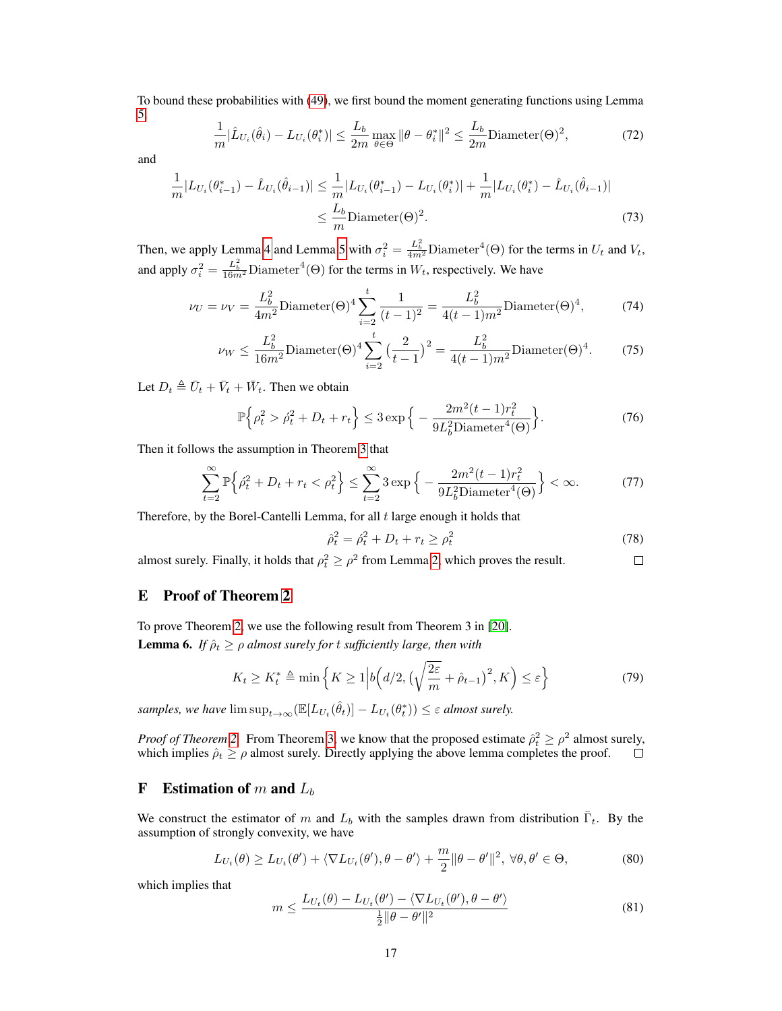To bound these probabilities with [\(49\)](#page-13-1), we first bound the moment generating functions using Lemma [5,](#page-14-1)

$$
\frac{1}{m}|\hat{L}_{U_i}(\hat{\theta}_i) - L_{U_i}(\theta_i^*)| \le \frac{L_b}{2m} \max_{\theta \in \Theta} \|\theta - \theta_i^*\|^2 \le \frac{L_b}{2m} \text{Diameter}(\Theta)^2,\tag{72}
$$

and

$$
\frac{1}{m}|L_{U_i}(\theta_{i-1}^*) - \hat{L}_{U_i}(\hat{\theta}_{i-1})| \le \frac{1}{m}|L_{U_i}(\theta_{i-1}^*) - L_{U_i}(\theta_i^*)| + \frac{1}{m}|L_{U_i}(\theta_i^*) - \hat{L}_{U_i}(\hat{\theta}_{i-1})|
$$
\n
$$
\le \frac{L_b}{m}\text{Diameter}(\Theta)^2. \tag{73}
$$

Then, we apply Lemma [4](#page-13-0) and Lemma [5](#page-14-1) with  $\sigma_i^2 = \frac{L_b^2}{4m^2} \text{Diameter}^4(\Theta)$  for the terms in  $U_t$  and  $V_t$ , and apply  $\sigma_i^2 = \frac{L_b^2}{16m^2}$ Diameter<sup>4</sup>( $\Theta$ ) for the terms in  $W_t$ , respectively. We have

$$
\nu_U = \nu_V = \frac{L_b^2}{4m^2} \text{Diameter}(\Theta)^4 \sum_{i=2}^t \frac{1}{(t-1)^2} = \frac{L_b^2}{4(t-1)m^2} \text{Diameter}(\Theta)^4,\tag{74}
$$

$$
\nu_W \le \frac{L_b^2}{16m^2} \text{Diameter}(\Theta)^4 \sum_{i=2}^t \left(\frac{2}{t-1}\right)^2 = \frac{L_b^2}{4(t-1)m^2} \text{Diameter}(\Theta)^4. \tag{75}
$$

Let  $D_t \triangleq \overline{U}_t + \overline{V}_t + \overline{W}_t$ . Then we obtain

$$
\mathbb{P}\Big\{\rho_t^2 > \rho_t^2 + D_t + r_t\Big\} \le 3 \exp\Big\{-\frac{2m^2(t-1)r_t^2}{9L_b^2 \text{Diameter}^4(\Theta)}\Big\}.\tag{76}
$$

Then it follows the assumption in Theorem [3](#page-6-3) that

$$
\sum_{t=2}^{\infty} \mathbb{P}\left\{\hat{\rho}_t^2 + D_t + r_t < \rho_t^2\right\} \le \sum_{t=2}^{\infty} 3 \exp\left\{-\frac{2m^2(t-1)r_t^2}{9L_b^2 \text{Diameter}^4(\Theta)}\right\} < \infty. \tag{77}
$$

Therefore, by the Borel-Cantelli Lemma, for all  $t$  large enough it holds that

$$
\hat{\rho}_t^2 = \hat{\rho}_t^2 + D_t + r_t \ge \rho_t^2 \tag{78}
$$

almost surely. Finally, it holds that  $\rho_t^2 \ge \rho^2$  from Lemma [2,](#page-5-3) which proves the result.  $\Box$ 

# E Proof of Theorem [2](#page-5-5)

To prove Theorem [2,](#page-5-5) we use the following result from Theorem 3 in [\[20\]](#page-9-14).

**Lemma 6.** *If*  $\hat{\rho}_t \ge \rho$  *almost surely for t sufficiently large, then with* 

$$
K_t \ge K_t^* \triangleq \min\left\{K \ge 1 \Big| b\Big(d/2, \big(\sqrt{\frac{2\varepsilon}{m}} + \hat{\rho}_{t-1}\big)^2, K\Big) \le \varepsilon\right\} \tag{79}
$$

samples, we have  $\limsup_{t\to\infty} (\mathbb{E}[L_{U_t}(\hat{\theta}_t)] - L_{U_t}(\theta_t^*)) \leq \varepsilon$  almost surely.

*Proof of Theorem [2.](#page-5-5)* From Theorem [3,](#page-6-3) we know that the proposed estimate  $\hat{\rho}_t^2 \ge \rho^2$  almost surely, which implies  $\hat{\rho}_t \ge \rho$  almost surely. Directly applying the above lemma completes the proof.  $\Box$ 

# **F** Estimation of m and  $L_b$

We construct the estimator of m and  $L_b$  with the samples drawn from distribution  $\overline{\Gamma}_t$ . By the assumption of strongly convexity, we have

<span id="page-16-0"></span>
$$
L_{U_t}(\theta) \ge L_{U_t}(\theta') + \langle \nabla L_{U_t}(\theta'), \theta - \theta' \rangle + \frac{m}{2} ||\theta - \theta'||^2, \ \forall \theta, \theta' \in \Theta,
$$
\n(80)

which implies that

$$
m \le \frac{L_{U_t}(\theta) - L_{U_t}(\theta') - \langle \nabla L_{U_t}(\theta'), \theta - \theta' \rangle}{\frac{1}{2} \|\theta - \theta'\|^2}
$$
(81)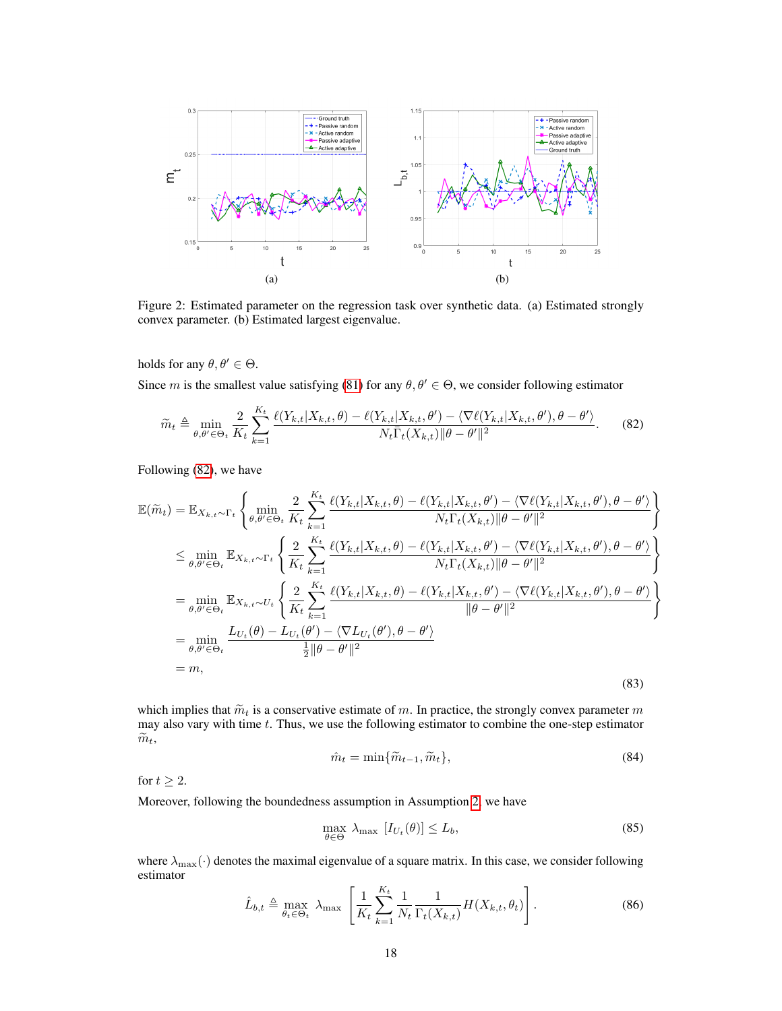<span id="page-17-1"></span>

<span id="page-17-2"></span>Figure 2: Estimated parameter on the regression task over synthetic data. (a) Estimated strongly convex parameter. (b) Estimated largest eigenvalue.

holds for any  $\theta, \theta' \in \Theta$ .

Since m is the smallest value satisfying [\(81\)](#page-16-0) for any  $\theta, \theta' \in \Theta$ , we consider following estimator

<span id="page-17-0"></span>
$$
\widetilde{m}_t \triangleq \min_{\theta, \theta' \in \Theta_t} \frac{2}{K_t} \sum_{k=1}^{K_t} \frac{\ell(Y_{k,t} | X_{k,t}, \theta) - \ell(Y_{k,t} | X_{k,t}, \theta') - \langle \nabla \ell(Y_{k,t} | X_{k,t}, \theta'), \theta - \theta' \rangle}{N_t \bar{\Gamma}_t(X_{k,t}) \|\theta - \theta'\|^2}.
$$
 (82)

Following [\(82\)](#page-17-0), we have

$$
\mathbb{E}(\widetilde{m}_{t}) = \mathbb{E}_{X_{k,t}\sim\Gamma_{t}}\left\{\min_{\theta,\theta'\in\Theta_{t}}\frac{2}{K_{t}}\sum_{k=1}^{K_{t}}\frac{\ell(Y_{k,t}|X_{k,t},\theta)-\ell(Y_{k,t}|X_{k,t},\theta')-\langle\nabla\ell(Y_{k,t}|X_{k,t},\theta'),\theta-\theta'\rangle}{N_{t}\Gamma_{t}(X_{k,t})\|\theta-\theta'\|^{2}}\right\}
$$
\n
$$
\leq \min_{\theta,\theta'\in\Theta_{t}}\mathbb{E}_{X_{k,t}\sim\Gamma_{t}}\left\{\frac{2}{K_{t}}\sum_{k=1}^{K_{t}}\frac{\ell(Y_{k,t}|X_{k,t},\theta)-\ell(Y_{k,t}|X_{k,t},\theta')-\langle\nabla\ell(Y_{k,t}|X_{k,t},\theta'),\theta-\theta'\rangle}{N_{t}\Gamma_{t}(X_{k,t})\|\theta-\theta'\|^{2}}\right\}
$$
\n
$$
=\min_{\theta,\theta'\in\Theta_{t}}\mathbb{E}_{X_{k,t}\sim U_{t}}\left\{\frac{2}{K_{t}}\sum_{k=1}^{K_{t}}\frac{\ell(Y_{k,t}|X_{k,t},\theta)-\ell(Y_{k,t}|X_{k,t},\theta')-\langle\nabla\ell(Y_{k,t}|X_{k,t},\theta'),\theta-\theta'\rangle}{\|\theta-\theta'\|^{2}}\right\}
$$
\n
$$
=\min_{\theta,\theta'\in\Theta_{t}}\frac{L_{U_{t}}(\theta)-L_{U_{t}}(\theta')-\langle\nabla L_{U_{t}}(\theta'),\theta-\theta'\rangle}{\frac{1}{2}\|\theta-\theta'\|^{2}}
$$
\n
$$
=m,
$$
\n(83)

which implies that  $\widetilde{m}_t$  is a conservative estimate of m. In practice, the strongly convex parameter  $m$ may also vary with time  $t$ . Thus, we use the following estimator to combine the one-step estimator  $\widetilde{m}_t$ ,

$$
\hat{m}_t = \min\{\tilde{m}_{t-1}, \tilde{m}_t\},\tag{84}
$$

for  $t \geq 2$ .

Moreover, following the boundedness assumption in Assumption [2,](#page-3-2) we have

$$
\max_{\theta \in \Theta} \ \lambda_{\max} \ [I_{U_t}(\theta)] \le L_b,
$$
\n(85)

where  $\lambda_{\text{max}}(\cdot)$  denotes the maximal eigenvalue of a square matrix. In this case, we consider following estimator

$$
\hat{L}_{b,t} \triangleq \max_{\theta_t \in \Theta_t} \ \lambda_{\max} \left[ \frac{1}{K_t} \sum_{k=1}^{K_t} \frac{1}{N_t} \frac{1}{\Gamma_t(X_{k,t})} H(X_{k,t}, \theta_t) \right]. \tag{86}
$$